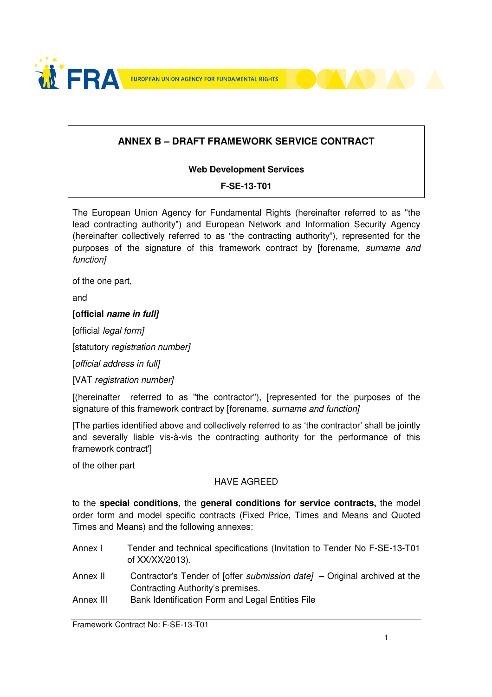



## **ANNEX B – DRAFT FRAMEWORK SERVICE CONTRACT**

#### **Web Development Services**

#### **F-SE-13-T01**

The European Union Agency for Fundamental Rights (hereinafter referred to as "the lead contracting authority") and European Network and Information Security Agency (hereinafter collectively referred to as "the contracting authority"), represented for the purposes of the signature of this framework contract by [forename, surname and function]

of the one part,

and

#### **[official name in full]**

[official *legal form]* 

[statutory registration number]

[official address in full]

[VAT registration number]

[(hereinafter referred to as "the contractor"), [represented for the purposes of the signature of this framework contract by [forename, surname and function]

[The parties identified above and collectively referred to as 'the contractor' shall be jointly and severally liable vis-à-vis the contracting authority for the performance of this framework contract']

of the other part

#### HAVE AGREED

to the **special conditions**, the **general conditions for service contracts,** the model order form and model specific contracts (Fixed Price, Times and Means and Quoted Times and Means) and the following annexes:

- Annex I Tender and technical specifications (Invitation to Tender No F-SE-13-T01 of XX/XX/2013).
- Annex II Contractor's Tender of [offer submission date] Original archived at the Contracting Authority's premises.
- Annex III Bank Identification Form and Legal Entities File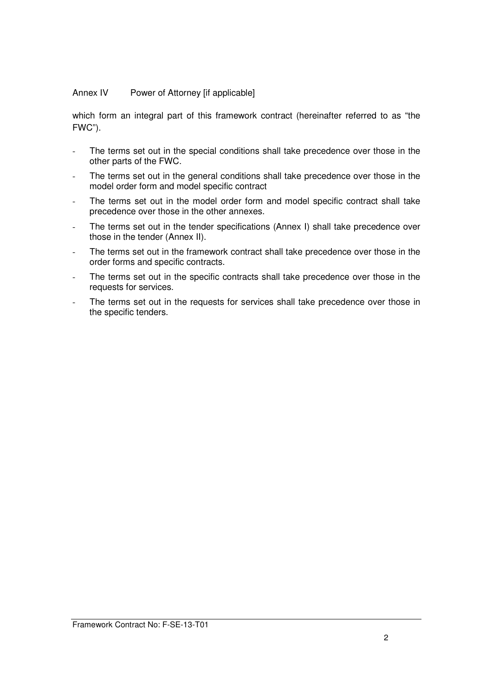#### Annex IV Power of Attorney [if applicable]

which form an integral part of this framework contract (hereinafter referred to as "the FWC").

- The terms set out in the special conditions shall take precedence over those in the other parts of the FWC.
- The terms set out in the general conditions shall take precedence over those in the model order form and model specific contract
- The terms set out in the model order form and model specific contract shall take precedence over those in the other annexes.
- The terms set out in the tender specifications (Annex I) shall take precedence over those in the tender (Annex II).
- The terms set out in the framework contract shall take precedence over those in the order forms and specific contracts.
- The terms set out in the specific contracts shall take precedence over those in the requests for services.
- The terms set out in the requests for services shall take precedence over those in the specific tenders.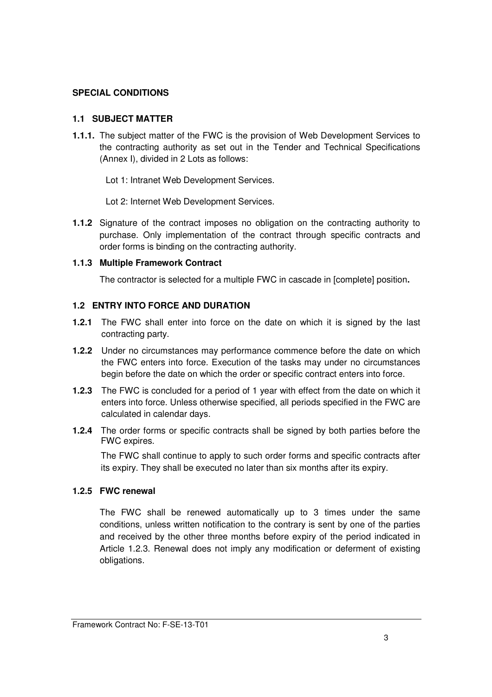#### **SPECIAL CONDITIONS**

#### **1.1 SUBJECT MATTER**

**1.1.1.** The subject matter of the FWC is the provision of Web Development Services to the contracting authority as set out in the Tender and Technical Specifications (Annex I), divided in 2 Lots as follows:

Lot 1: Intranet Web Development Services.

Lot 2: Internet Web Development Services.

**1.1.2** Signature of the contract imposes no obligation on the contracting authority to purchase. Only implementation of the contract through specific contracts and order forms is binding on the contracting authority.

#### **1.1.3 Multiple Framework Contract**

The contractor is selected for a multiple FWC in cascade in [complete] position**.** 

#### **1.2 ENTRY INTO FORCE AND DURATION**

- **1.2.1** The FWC shall enter into force on the date on which it is signed by the last contracting party.
- **1.2.2** Under no circumstances may performance commence before the date on which the FWC enters into force. Execution of the tasks may under no circumstances begin before the date on which the order or specific contract enters into force.
- **1.2.3** The FWC is concluded for a period of 1 year with effect from the date on which it enters into force. Unless otherwise specified, all periods specified in the FWC are calculated in calendar days.
- **1.2.4** The order forms or specific contracts shall be signed by both parties before the FWC expires.

The FWC shall continue to apply to such order forms and specific contracts after its expiry. They shall be executed no later than six months after its expiry.

#### **1.2.5 FWC renewal**

The FWC shall be renewed automatically up to 3 times under the same conditions, unless written notification to the contrary is sent by one of the parties and received by the other three months before expiry of the period indicated in Article 1.2.3. Renewal does not imply any modification or deferment of existing obligations.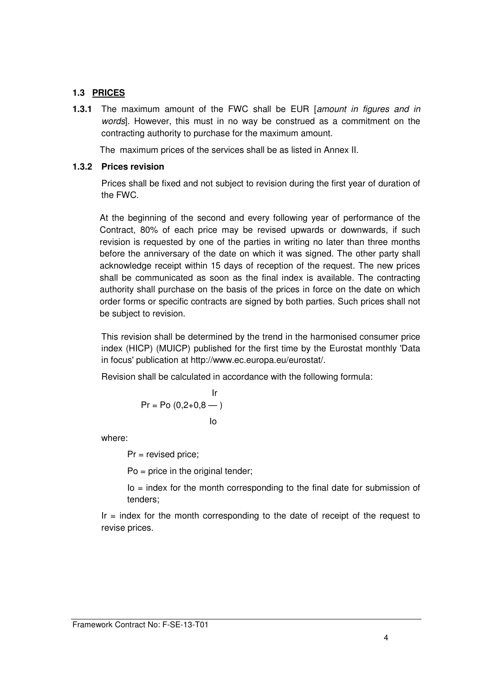#### **1.3 PRICES**

**1.3.1** The maximum amount of the FWC shall be EUR [amount in figures and in words]. However, this must in no way be construed as a commitment on the contracting authority to purchase for the maximum amount.

The maximum prices of the services shall be as listed in Annex II.

#### **1.3.2 Prices revision**

Prices shall be fixed and not subject to revision during the first year of duration of the FWC.

At the beginning of the second and every following year of performance of the Contract, 80% of each price may be revised upwards or downwards, if such revision is requested by one of the parties in writing no later than three months before the anniversary of the date on which it was signed. The other party shall acknowledge receipt within 15 days of reception of the request. The new prices shall be communicated as soon as the final index is available. The contracting authority shall purchase on the basis of the prices in force on the date on which order forms or specific contracts are signed by both parties. Such prices shall not be subject to revision.

This revision shall be determined by the trend in the harmonised consumer price index (HICP) (MUICP) published for the first time by the Eurostat monthly 'Data in focus' publication at http://www.ec.europa.eu/eurostat/.

Revision shall be calculated in accordance with the following formula:

$$
\Pr = \Pr (0, 2+0, 8 - )
$$
\nlo

where:

Pr = revised price;

Po = price in the original tender;

 Io = index for the month corresponding to the final date for submission of tenders;

 $Ir = index$  for the month corresponding to the date of receipt of the request to revise prices.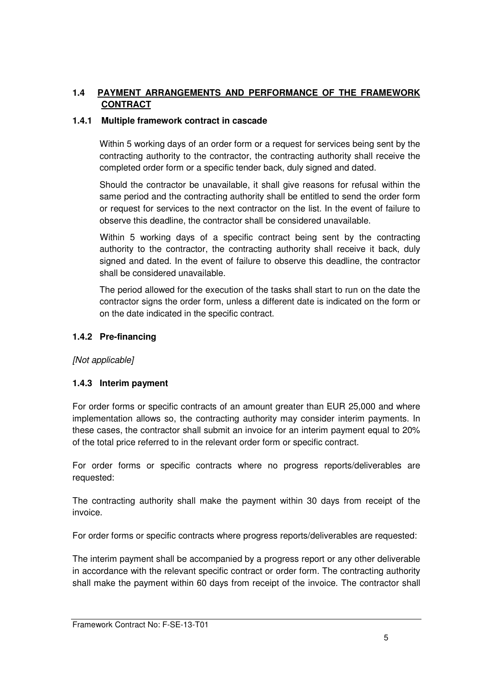### **1.4 PAYMENT ARRANGEMENTS AND PERFORMANCE OF THE FRAMEWORK CONTRACT**

#### **1.4.1 Multiple framework contract in cascade**

Within 5 working days of an order form or a request for services being sent by the contracting authority to the contractor, the contracting authority shall receive the completed order form or a specific tender back, duly signed and dated.

Should the contractor be unavailable, it shall give reasons for refusal within the same period and the contracting authority shall be entitled to send the order form or request for services to the next contractor on the list. In the event of failure to observe this deadline, the contractor shall be considered unavailable.

Within 5 working days of a specific contract being sent by the contracting authority to the contractor, the contracting authority shall receive it back, duly signed and dated. In the event of failure to observe this deadline, the contractor shall be considered unavailable.

The period allowed for the execution of the tasks shall start to run on the date the contractor signs the order form, unless a different date is indicated on the form or on the date indicated in the specific contract.

#### **1.4.2 Pre-financing**

[Not applicable]

#### **1.4.3 Interim payment**

For order forms or specific contracts of an amount greater than EUR 25,000 and where implementation allows so, the contracting authority may consider interim payments. In these cases, the contractor shall submit an invoice for an interim payment equal to 20% of the total price referred to in the relevant order form or specific contract.

For order forms or specific contracts where no progress reports/deliverables are requested:

The contracting authority shall make the payment within 30 days from receipt of the invoice.

For order forms or specific contracts where progress reports/deliverables are requested:

The interim payment shall be accompanied by a progress report or any other deliverable in accordance with the relevant specific contract or order form. The contracting authority shall make the payment within 60 days from receipt of the invoice. The contractor shall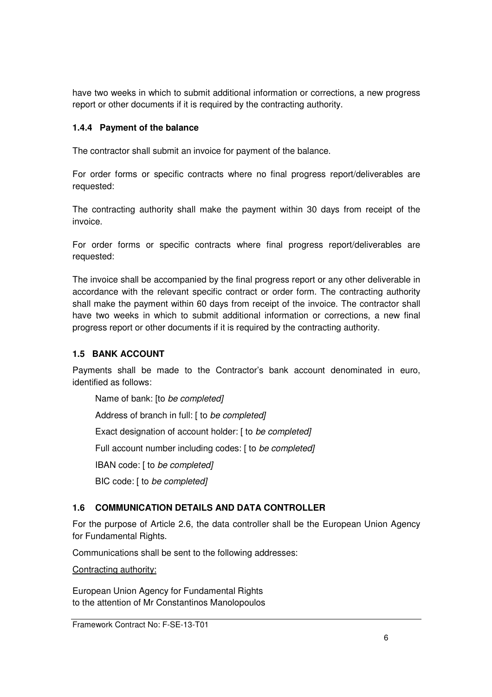have two weeks in which to submit additional information or corrections, a new progress report or other documents if it is required by the contracting authority.

### **1.4.4 Payment of the balance**

The contractor shall submit an invoice for payment of the balance.

For order forms or specific contracts where no final progress report/deliverables are requested:

The contracting authority shall make the payment within 30 days from receipt of the invoice.

For order forms or specific contracts where final progress report/deliverables are requested:

The invoice shall be accompanied by the final progress report or any other deliverable in accordance with the relevant specific contract or order form. The contracting authority shall make the payment within 60 days from receipt of the invoice. The contractor shall have two weeks in which to submit additional information or corrections, a new final progress report or other documents if it is required by the contracting authority.

### **1.5 BANK ACCOUNT**

Payments shall be made to the Contractor's bank account denominated in euro, identified as follows:

Name of bank: [to be completed]

Address of branch in full: [ to be completed]

Exact designation of account holder: [ to be completed]

Full account number including codes: [ to be completed]

IBAN code: [ to be completed]

BIC code: [ to be completed]

#### **1.6 COMMUNICATION DETAILS AND DATA CONTROLLER**

For the purpose of Article 2.6, the data controller shall be the European Union Agency for Fundamental Rights.

Communications shall be sent to the following addresses:

Contracting authority:

European Union Agency for Fundamental Rights to the attention of Mr Constantinos Manolopoulos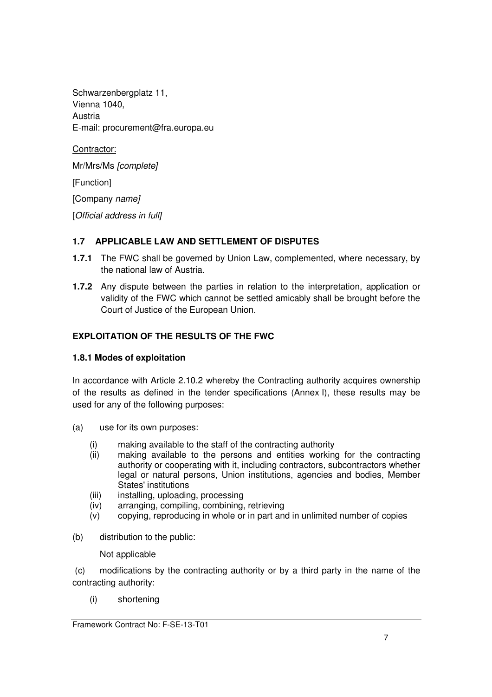Schwarzenbergplatz 11, Vienna 1040, Austria E-mail: procurement@fra.europa.eu

Contractor: Mr/Mrs/Ms [complete] [Function] [Company name] [Official address in full]

### **1.7 APPLICABLE LAW AND SETTLEMENT OF DISPUTES**

- **1.7.1** The FWC shall be governed by Union Law, complemented, where necessary, by the national law of Austria.
- **1.7.2** Any dispute between the parties in relation to the interpretation, application or validity of the FWC which cannot be settled amicably shall be brought before the Court of Justice of the European Union.

## **EXPLOITATION OF THE RESULTS OF THE FWC**

#### **1.8.1 Modes of exploitation**

In accordance with Article 2.10.2 whereby the Contracting authority acquires ownership of the results as defined in the tender specifications (Annex I), these results may be used for any of the following purposes:

- (a) use for its own purposes:
	- (i) making available to the staff of the contracting authority<br>(ii) making available to the persons and entities working
	- making available to the persons and entities working for the contracting authority or cooperating with it, including contractors, subcontractors whether legal or natural persons, Union institutions, agencies and bodies, Member States' institutions
	- (iii) installing, uploading, processing
	- (iv) arranging, compiling, combining, retrieving
	- (v) copying, reproducing in whole or in part and in unlimited number of copies
- (b) distribution to the public:

Not applicable

 (c) modifications by the contracting authority or by a third party in the name of the contracting authority:

(i) shortening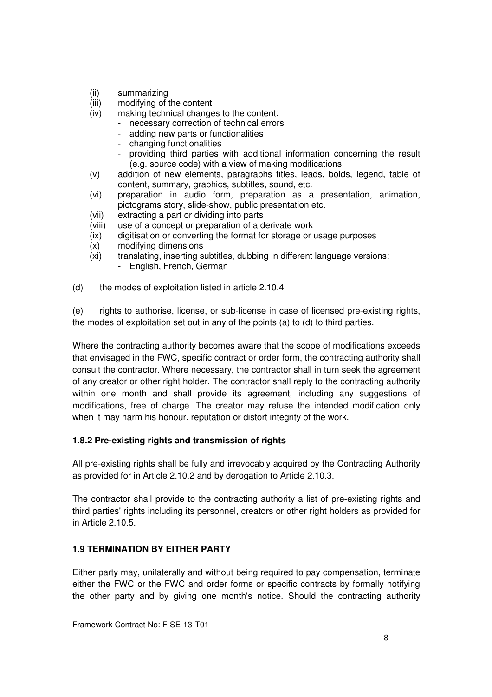- (ii) summarizing
- (iii) modifying of the content
- (iv) making technical changes to the content:
	- necessary correction of technical errors
	- adding new parts or functionalities
	- changing functionalities
	- providing third parties with additional information concerning the result (e.g. source code) with a view of making modifications
- (v) addition of new elements, paragraphs titles, leads, bolds, legend, table of content, summary, graphics, subtitles, sound, etc.
- (vi) preparation in audio form, preparation as a presentation, animation, pictograms story, slide-show, public presentation etc.
- (vii) extracting a part or dividing into parts
- (viii) use of a concept or preparation of a derivate work
- (ix) digitisation or converting the format for storage or usage purposes
- (x) modifying dimensions
- (xi) translating, inserting subtitles, dubbing in different language versions:
	- English, French, German

(d) the modes of exploitation listed in article 2.10.4

(e) rights to authorise, license, or sub-license in case of licensed pre-existing rights, the modes of exploitation set out in any of the points (a) to (d) to third parties.

Where the contracting authority becomes aware that the scope of modifications exceeds that envisaged in the FWC, specific contract or order form, the contracting authority shall consult the contractor. Where necessary, the contractor shall in turn seek the agreement of any creator or other right holder. The contractor shall reply to the contracting authority within one month and shall provide its agreement, including any suggestions of modifications, free of charge. The creator may refuse the intended modification only when it may harm his honour, reputation or distort integrity of the work.

#### **1.8.2 Pre-existing rights and transmission of rights**

All pre-existing rights shall be fully and irrevocably acquired by the Contracting Authority as provided for in Article 2.10.2 and by derogation to Article 2.10.3.

The contractor shall provide to the contracting authority a list of pre-existing rights and third parties' rights including its personnel, creators or other right holders as provided for in Article 2.10.5.

#### **1.9 TERMINATION BY EITHER PARTY**

Either party may, unilaterally and without being required to pay compensation, terminate either the FWC or the FWC and order forms or specific contracts by formally notifying the other party and by giving one month's notice. Should the contracting authority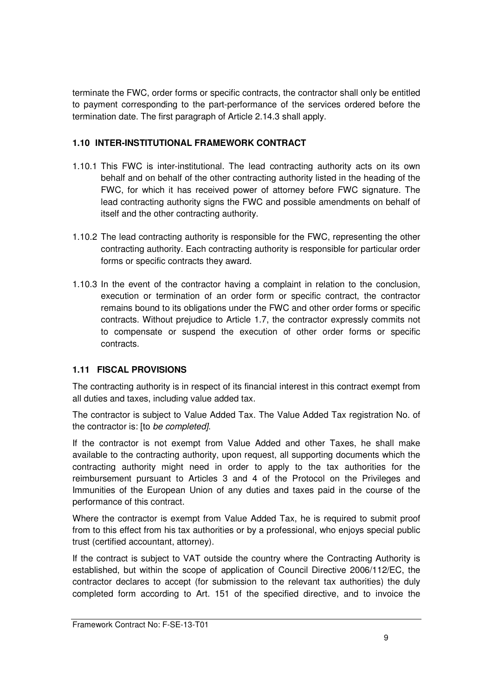terminate the FWC, order forms or specific contracts, the contractor shall only be entitled to payment corresponding to the part-performance of the services ordered before the termination date. The first paragraph of Article 2.14.3 shall apply.

### **1.10 INTER-INSTITUTIONAL FRAMEWORK CONTRACT**

- 1.10.1 This FWC is inter-institutional. The lead contracting authority acts on its own behalf and on behalf of the other contracting authority listed in the heading of the FWC, for which it has received power of attorney before FWC signature. The lead contracting authority signs the FWC and possible amendments on behalf of itself and the other contracting authority.
- 1.10.2 The lead contracting authority is responsible for the FWC, representing the other contracting authority. Each contracting authority is responsible for particular order forms or specific contracts they award.
- 1.10.3 In the event of the contractor having a complaint in relation to the conclusion, execution or termination of an order form or specific contract, the contractor remains bound to its obligations under the FWC and other order forms or specific contracts. Without prejudice to Article 1.7, the contractor expressly commits not to compensate or suspend the execution of other order forms or specific contracts.

#### **1.11 FISCAL PROVISIONS**

The contracting authority is in respect of its financial interest in this contract exempt from all duties and taxes, including value added tax.

The contractor is subject to Value Added Tax. The Value Added Tax registration No. of the contractor is: [to be completed].

If the contractor is not exempt from Value Added and other Taxes, he shall make available to the contracting authority, upon request, all supporting documents which the contracting authority might need in order to apply to the tax authorities for the reimbursement pursuant to Articles 3 and 4 of the Protocol on the Privileges and Immunities of the European Union of any duties and taxes paid in the course of the performance of this contract.

Where the contractor is exempt from Value Added Tax, he is required to submit proof from to this effect from his tax authorities or by a professional, who enjoys special public trust (certified accountant, attorney).

If the contract is subject to VAT outside the country where the Contracting Authority is established, but within the scope of application of Council Directive 2006/112/EC, the contractor declares to accept (for submission to the relevant tax authorities) the duly completed form according to Art. 151 of the specified directive, and to invoice the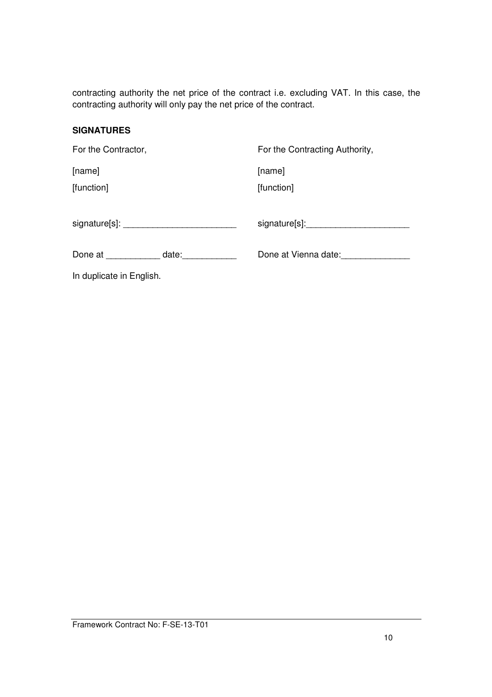contracting authority the net price of the contract i.e. excluding VAT. In this case, the contracting authority will only pay the net price of the contract.

#### **SIGNATURES**

| For the Contractor,      |               | For the Contracting Authority, |
|--------------------------|---------------|--------------------------------|
| [name]                   |               | [name]                         |
| [function]               |               | [function]                     |
|                          |               |                                |
|                          | Done at date: | Done at Vienna date:           |
| In duplicate in English. |               |                                |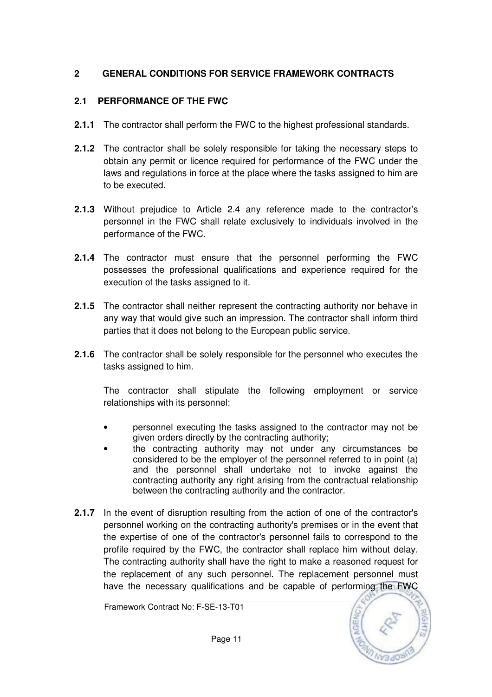## **2 GENERAL CONDITIONS FOR SERVICE FRAMEWORK CONTRACTS**

## **2.1 PERFORMANCE OF THE FWC**

- **2.1.1** The contractor shall perform the FWC to the highest professional standards.
- **2.1.2** The contractor shall be solely responsible for taking the necessary steps to obtain any permit or licence required for performance of the FWC under the laws and regulations in force at the place where the tasks assigned to him are to be executed.
- **2.1.3** Without prejudice to Article 2.4 any reference made to the contractor's personnel in the FWC shall relate exclusively to individuals involved in the performance of the FWC.
- **2.1.4** The contractor must ensure that the personnel performing the FWC possesses the professional qualifications and experience required for the execution of the tasks assigned to it.
- **2.1.5** The contractor shall neither represent the contracting authority nor behave in any way that would give such an impression. The contractor shall inform third parties that it does not belong to the European public service.
- **2.1.6** The contractor shall be solely responsible for the personnel who executes the tasks assigned to him.

The contractor shall stipulate the following employment or service relationships with its personnel:

- personnel executing the tasks assigned to the contractor may not be given orders directly by the contracting authority;
- the contracting authority may not under any circumstances be considered to be the employer of the personnel referred to in point (a) and the personnel shall undertake not to invoke against the contracting authority any right arising from the contractual relationship between the contracting authority and the contractor.
- **2.1.7** In the event of disruption resulting from the action of one of the contractor's personnel working on the contracting authority's premises or in the event that the expertise of one of the contractor's personnel fails to correspond to the profile required by the FWC, the contractor shall replace him without delay. The contracting authority shall have the right to make a reasoned request for the replacement of any such personnel. The replacement personnel must have the necessary qualifications and be capable of performing the FWC

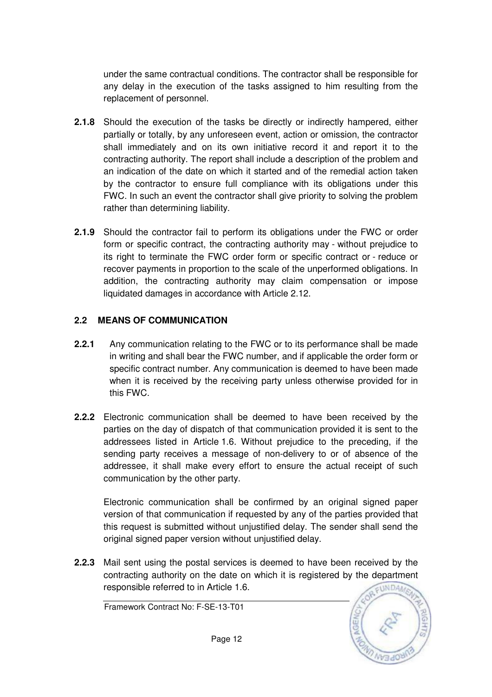under the same contractual conditions. The contractor shall be responsible for any delay in the execution of the tasks assigned to him resulting from the replacement of personnel.

- **2.1.8** Should the execution of the tasks be directly or indirectly hampered, either partially or totally, by any unforeseen event, action or omission, the contractor shall immediately and on its own initiative record it and report it to the contracting authority. The report shall include a description of the problem and an indication of the date on which it started and of the remedial action taken by the contractor to ensure full compliance with its obligations under this FWC. In such an event the contractor shall give priority to solving the problem rather than determining liability.
- **2.1.9** Should the contractor fail to perform its obligations under the FWC or order form or specific contract, the contracting authority may - without prejudice to its right to terminate the FWC order form or specific contract or - reduce or recover payments in proportion to the scale of the unperformed obligations. In addition, the contracting authority may claim compensation or impose liquidated damages in accordance with Article 2.12.

### **2.2 MEANS OF COMMUNICATION**

- **2.2.1** Any communication relating to the FWC or to its performance shall be made in writing and shall bear the FWC number, and if applicable the order form or specific contract number. Any communication is deemed to have been made when it is received by the receiving party unless otherwise provided for in this FWC.
- **2.2.2** Electronic communication shall be deemed to have been received by the parties on the day of dispatch of that communication provided it is sent to the addressees listed in Article 1.6. Without prejudice to the preceding, if the sending party receives a message of non-delivery to or of absence of the addressee, it shall make every effort to ensure the actual receipt of such communication by the other party.

Electronic communication shall be confirmed by an original signed paper version of that communication if requested by any of the parties provided that this request is submitted without unjustified delay. The sender shall send the original signed paper version without unjustified delay.

**2.2.3** Mail sent using the postal services is deemed to have been received by the contracting authority on the date on which it is registered by the department responsible referred to in Article 1.6.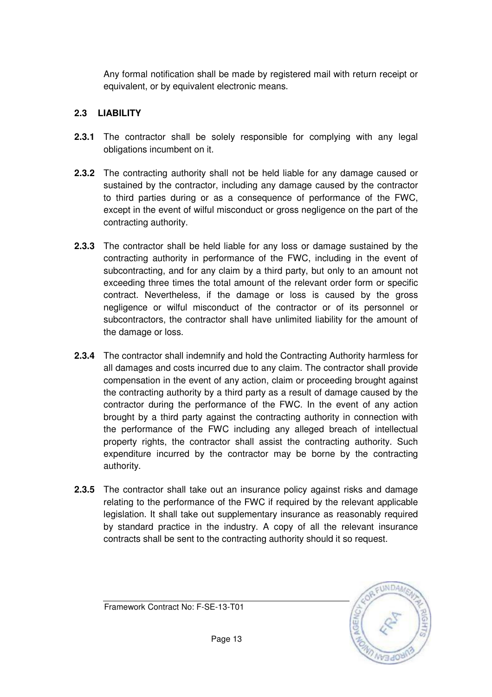Any formal notification shall be made by registered mail with return receipt or equivalent, or by equivalent electronic means.

## **2.3 LIABILITY**

- **2.3.1** The contractor shall be solely responsible for complying with any legal obligations incumbent on it.
- **2.3.2** The contracting authority shall not be held liable for any damage caused or sustained by the contractor, including any damage caused by the contractor to third parties during or as a consequence of performance of the FWC, except in the event of wilful misconduct or gross negligence on the part of the contracting authority.
- **2.3.3** The contractor shall be held liable for any loss or damage sustained by the contracting authority in performance of the FWC, including in the event of subcontracting, and for any claim by a third party, but only to an amount not exceeding three times the total amount of the relevant order form or specific contract. Nevertheless, if the damage or loss is caused by the gross negligence or wilful misconduct of the contractor or of its personnel or subcontractors, the contractor shall have unlimited liability for the amount of the damage or loss.
- **2.3.4** The contractor shall indemnify and hold the Contracting Authority harmless for all damages and costs incurred due to any claim. The contractor shall provide compensation in the event of any action, claim or proceeding brought against the contracting authority by a third party as a result of damage caused by the contractor during the performance of the FWC. In the event of any action brought by a third party against the contracting authority in connection with the performance of the FWC including any alleged breach of intellectual property rights, the contractor shall assist the contracting authority. Such expenditure incurred by the contractor may be borne by the contracting authority.
- **2.3.5** The contractor shall take out an insurance policy against risks and damage relating to the performance of the FWC if required by the relevant applicable legislation. It shall take out supplementary insurance as reasonably required by standard practice in the industry. A copy of all the relevant insurance contracts shall be sent to the contracting authority should it so request.

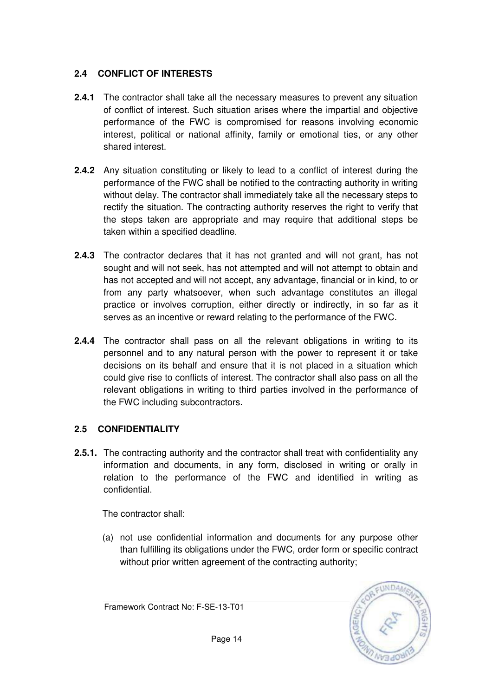## **2.4 CONFLICT OF INTERESTS**

- **2.4.1** The contractor shall take all the necessary measures to prevent any situation of conflict of interest. Such situation arises where the impartial and objective performance of the FWC is compromised for reasons involving economic interest, political or national affinity, family or emotional ties, or any other shared interest.
- **2.4.2** Any situation constituting or likely to lead to a conflict of interest during the performance of the FWC shall be notified to the contracting authority in writing without delay. The contractor shall immediately take all the necessary steps to rectify the situation. The contracting authority reserves the right to verify that the steps taken are appropriate and may require that additional steps be taken within a specified deadline.
- **2.4.3** The contractor declares that it has not granted and will not grant, has not sought and will not seek, has not attempted and will not attempt to obtain and has not accepted and will not accept, any advantage, financial or in kind, to or from any party whatsoever, when such advantage constitutes an illegal practice or involves corruption, either directly or indirectly, in so far as it serves as an incentive or reward relating to the performance of the FWC.
- **2.4.4** The contractor shall pass on all the relevant obligations in writing to its personnel and to any natural person with the power to represent it or take decisions on its behalf and ensure that it is not placed in a situation which could give rise to conflicts of interest. The contractor shall also pass on all the relevant obligations in writing to third parties involved in the performance of the FWC including subcontractors.

## **2.5 CONFIDENTIALITY**

**2.5.1.** The contracting authority and the contractor shall treat with confidentiality any information and documents, in any form, disclosed in writing or orally in relation to the performance of the FWC and identified in writing as confidential.

The contractor shall:

(a) not use confidential information and documents for any purpose other than fulfilling its obligations under the FWC, order form or specific contract without prior written agreement of the contracting authority;



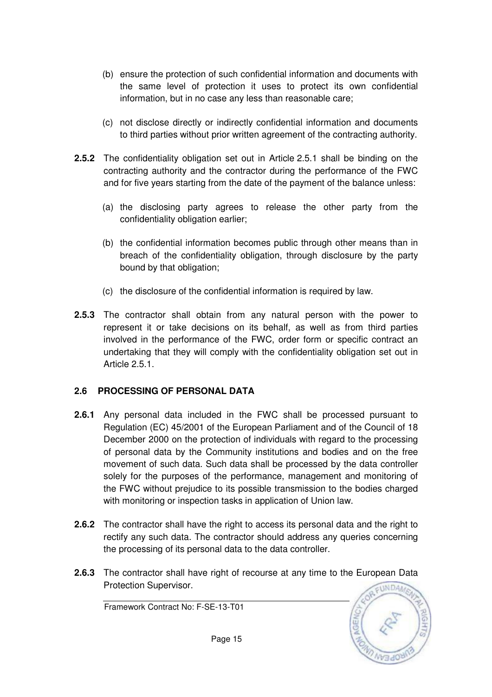- (b) ensure the protection of such confidential information and documents with the same level of protection it uses to protect its own confidential information, but in no case any less than reasonable care;
- (c) not disclose directly or indirectly confidential information and documents to third parties without prior written agreement of the contracting authority.
- **2.5.2** The confidentiality obligation set out in Article 2.5.1 shall be binding on the contracting authority and the contractor during the performance of the FWC and for five years starting from the date of the payment of the balance unless:
	- (a) the disclosing party agrees to release the other party from the confidentiality obligation earlier;
	- (b) the confidential information becomes public through other means than in breach of the confidentiality obligation, through disclosure by the party bound by that obligation;
	- (c) the disclosure of the confidential information is required by law.
- **2.5.3** The contractor shall obtain from any natural person with the power to represent it or take decisions on its behalf, as well as from third parties involved in the performance of the FWC, order form or specific contract an undertaking that they will comply with the confidentiality obligation set out in Article 2.5.1.

#### **2.6 PROCESSING OF PERSONAL DATA**

- **2.6.1** Any personal data included in the FWC shall be processed pursuant to Regulation (EC) 45/2001 of the European Parliament and of the Council of 18 December 2000 on the protection of individuals with regard to the processing of personal data by the Community institutions and bodies and on the free movement of such data. Such data shall be processed by the data controller solely for the purposes of the performance, management and monitoring of the FWC without prejudice to its possible transmission to the bodies charged with monitoring or inspection tasks in application of Union law.
- **2.6.2** The contractor shall have the right to access its personal data and the right to rectify any such data. The contractor should address any queries concerning the processing of its personal data to the data controller.
- **2.6.3** The contractor shall have right of recourse at any time to the European Data Protection Supervisor.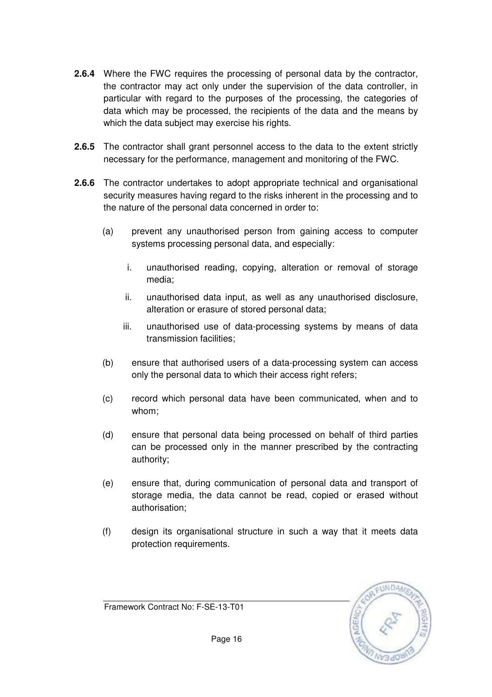- **2.6.4** Where the FWC requires the processing of personal data by the contractor, the contractor may act only under the supervision of the data controller, in particular with regard to the purposes of the processing, the categories of data which may be processed, the recipients of the data and the means by which the data subject may exercise his rights.
- **2.6.5** The contractor shall grant personnel access to the data to the extent strictly necessary for the performance, management and monitoring of the FWC.
- **2.6.6** The contractor undertakes to adopt appropriate technical and organisational security measures having regard to the risks inherent in the processing and to the nature of the personal data concerned in order to:
	- (a) prevent any unauthorised person from gaining access to computer systems processing personal data, and especially:
		- i. unauthorised reading, copying, alteration or removal of storage media;
		- ii. unauthorised data input, as well as any unauthorised disclosure, alteration or erasure of stored personal data;
		- iii. unauthorised use of data-processing systems by means of data transmission facilities;
	- (b) ensure that authorised users of a data-processing system can access only the personal data to which their access right refers;
	- (c) record which personal data have been communicated, when and to whom;
	- (d) ensure that personal data being processed on behalf of third parties can be processed only in the manner prescribed by the contracting authority;
	- (e) ensure that, during communication of personal data and transport of storage media, the data cannot be read, copied or erased without authorisation;
	- (f) design its organisational structure in such a way that it meets data protection requirements.

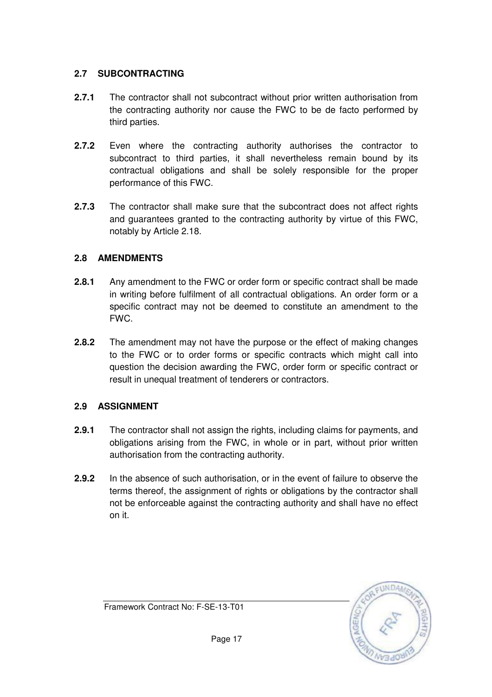## **2.7 SUBCONTRACTING**

- **2.7.1** The contractor shall not subcontract without prior written authorisation from the contracting authority nor cause the FWC to be de facto performed by third parties.
- **2.7.2** Even where the contracting authority authorises the contractor to subcontract to third parties, it shall nevertheless remain bound by its contractual obligations and shall be solely responsible for the proper performance of this FWC.
- **2.7.3** The contractor shall make sure that the subcontract does not affect rights and guarantees granted to the contracting authority by virtue of this FWC, notably by Article 2.18.

## **2.8 AMENDMENTS**

- **2.8.1** Any amendment to the FWC or order form or specific contract shall be made in writing before fulfilment of all contractual obligations. An order form or a specific contract may not be deemed to constitute an amendment to the FWC.
- **2.8.2** The amendment may not have the purpose or the effect of making changes to the FWC or to order forms or specific contracts which might call into question the decision awarding the FWC, order form or specific contract or result in unequal treatment of tenderers or contractors.

## **2.9 ASSIGNMENT**

- **2.9.1** The contractor shall not assign the rights, including claims for payments, and obligations arising from the FWC, in whole or in part, without prior written authorisation from the contracting authority.
- **2.9.2** In the absence of such authorisation, or in the event of failure to observe the terms thereof, the assignment of rights or obligations by the contractor shall not be enforceable against the contracting authority and shall have no effect on it.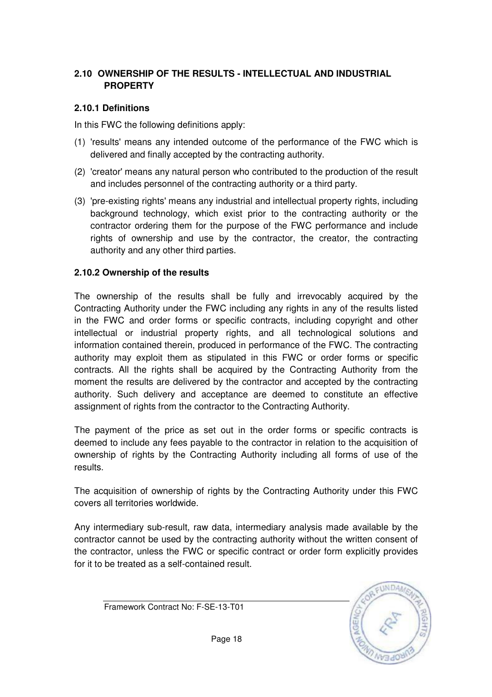## **2.10 OWNERSHIP OF THE RESULTS - INTELLECTUAL AND INDUSTRIAL PROPERTY**

### **2.10.1 Definitions**

In this FWC the following definitions apply:

- (1) 'results' means any intended outcome of the performance of the FWC which is delivered and finally accepted by the contracting authority.
- (2) 'creator' means any natural person who contributed to the production of the result and includes personnel of the contracting authority or a third party.
- (3) 'pre-existing rights' means any industrial and intellectual property rights, including background technology, which exist prior to the contracting authority or the contractor ordering them for the purpose of the FWC performance and include rights of ownership and use by the contractor, the creator, the contracting authority and any other third parties.

### **2.10.2 Ownership of the results**

The ownership of the results shall be fully and irrevocably acquired by the Contracting Authority under the FWC including any rights in any of the results listed in the FWC and order forms or specific contracts, including copyright and other intellectual or industrial property rights, and all technological solutions and information contained therein, produced in performance of the FWC. The contracting authority may exploit them as stipulated in this FWC or order forms or specific contracts. All the rights shall be acquired by the Contracting Authority from the moment the results are delivered by the contractor and accepted by the contracting authority. Such delivery and acceptance are deemed to constitute an effective assignment of rights from the contractor to the Contracting Authority.

The payment of the price as set out in the order forms or specific contracts is deemed to include any fees payable to the contractor in relation to the acquisition of ownership of rights by the Contracting Authority including all forms of use of the results.

The acquisition of ownership of rights by the Contracting Authority under this FWC covers all territories worldwide.

Any intermediary sub-result, raw data, intermediary analysis made available by the contractor cannot be used by the contracting authority without the written consent of the contractor, unless the FWC or specific contract or order form explicitly provides for it to be treated as a self-contained result.

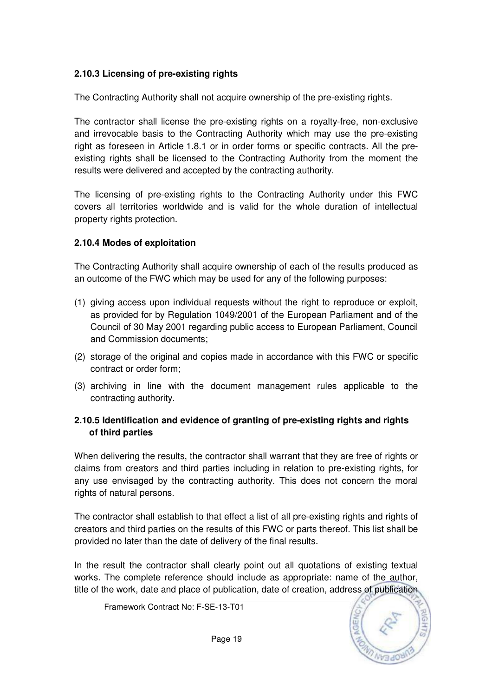## **2.10.3 Licensing of pre-existing rights**

The Contracting Authority shall not acquire ownership of the pre-existing rights.

The contractor shall license the pre-existing rights on a royalty-free, non-exclusive and irrevocable basis to the Contracting Authority which may use the pre-existing right as foreseen in Article 1.8.1 or in order forms or specific contracts. All the preexisting rights shall be licensed to the Contracting Authority from the moment the results were delivered and accepted by the contracting authority.

The licensing of pre-existing rights to the Contracting Authority under this FWC covers all territories worldwide and is valid for the whole duration of intellectual property rights protection.

## **2.10.4 Modes of exploitation**

The Contracting Authority shall acquire ownership of each of the results produced as an outcome of the FWC which may be used for any of the following purposes:

- (1) giving access upon individual requests without the right to reproduce or exploit, as provided for by Regulation 1049/2001 of the European Parliament and of the Council of 30 May 2001 regarding public access to European Parliament, Council and Commission documents;
- (2) storage of the original and copies made in accordance with this FWC or specific contract or order form;
- (3) archiving in line with the document management rules applicable to the contracting authority.

## **2.10.5 Identification and evidence of granting of pre-existing rights and rights of third parties**

When delivering the results, the contractor shall warrant that they are free of rights or claims from creators and third parties including in relation to pre-existing rights, for any use envisaged by the contracting authority. This does not concern the moral rights of natural persons.

The contractor shall establish to that effect a list of all pre-existing rights and rights of creators and third parties on the results of this FWC or parts thereof. This list shall be provided no later than the date of delivery of the final results.

In the result the contractor shall clearly point out all quotations of existing textual works. The complete reference should include as appropriate: name of the author, title of the work, date and place of publication, date of creation, address of publication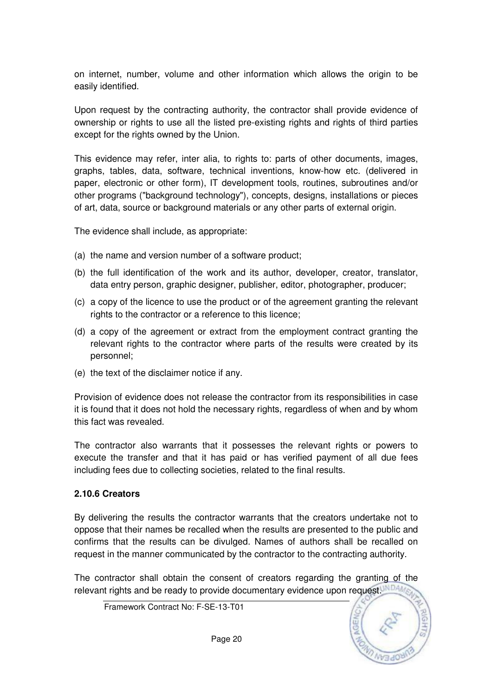on internet, number, volume and other information which allows the origin to be easily identified.

Upon request by the contracting authority, the contractor shall provide evidence of ownership or rights to use all the listed pre-existing rights and rights of third parties except for the rights owned by the Union.

This evidence may refer, inter alia, to rights to: parts of other documents, images, graphs, tables, data, software, technical inventions, know-how etc. (delivered in paper, electronic or other form), IT development tools, routines, subroutines and/or other programs ("background technology"), concepts, designs, installations or pieces of art, data, source or background materials or any other parts of external origin.

The evidence shall include, as appropriate:

- (a) the name and version number of a software product;
- (b) the full identification of the work and its author, developer, creator, translator, data entry person, graphic designer, publisher, editor, photographer, producer;
- (c) a copy of the licence to use the product or of the agreement granting the relevant rights to the contractor or a reference to this licence;
- (d) a copy of the agreement or extract from the employment contract granting the relevant rights to the contractor where parts of the results were created by its personnel;
- (e) the text of the disclaimer notice if any.

Provision of evidence does not release the contractor from its responsibilities in case it is found that it does not hold the necessary rights, regardless of when and by whom this fact was revealed.

The contractor also warrants that it possesses the relevant rights or powers to execute the transfer and that it has paid or has verified payment of all due fees including fees due to collecting societies, related to the final results.

#### **2.10.6 Creators**

By delivering the results the contractor warrants that the creators undertake not to oppose that their names be recalled when the results are presented to the public and confirms that the results can be divulged. Names of authors shall be recalled on request in the manner communicated by the contractor to the contracting authority.

The contractor shall obtain the consent of creators regarding the granting of the relevant rights and be ready to provide documentary evidence upon request.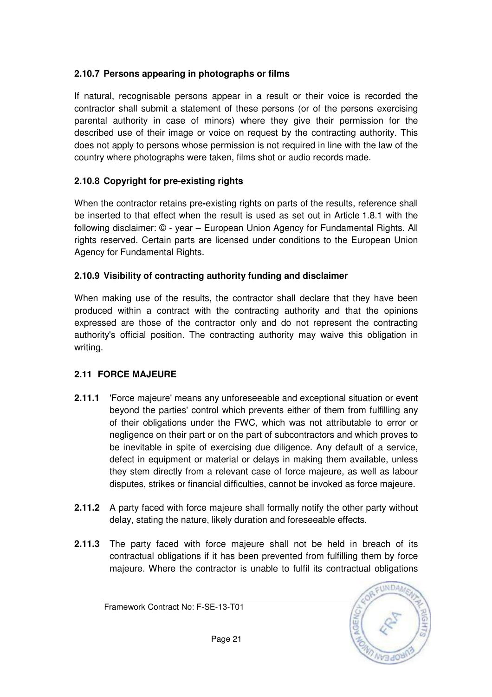## **2.10.7 Persons appearing in photographs or films**

If natural, recognisable persons appear in a result or their voice is recorded the contractor shall submit a statement of these persons (or of the persons exercising parental authority in case of minors) where they give their permission for the described use of their image or voice on request by the contracting authority. This does not apply to persons whose permission is not required in line with the law of the country where photographs were taken, films shot or audio records made.

## **2.10.8 Copyright for pre-existing rights**

When the contractor retains pre**-**existing rights on parts of the results, reference shall be inserted to that effect when the result is used as set out in Article 1.8.1 with the following disclaimer: © - year – European Union Agency for Fundamental Rights. All rights reserved. Certain parts are licensed under conditions to the European Union Agency for Fundamental Rights.

## **2.10.9 Visibility of contracting authority funding and disclaimer**

When making use of the results, the contractor shall declare that they have been produced within a contract with the contracting authority and that the opinions expressed are those of the contractor only and do not represent the contracting authority's official position. The contracting authority may waive this obligation in writing.

## **2.11 FORCE MAJEURE**

- **2.11.1** 'Force majeure' means any unforeseeable and exceptional situation or event beyond the parties' control which prevents either of them from fulfilling any of their obligations under the FWC, which was not attributable to error or negligence on their part or on the part of subcontractors and which proves to be inevitable in spite of exercising due diligence. Any default of a service, defect in equipment or material or delays in making them available, unless they stem directly from a relevant case of force majeure, as well as labour disputes, strikes or financial difficulties, cannot be invoked as force majeure.
- **2.11.2** A party faced with force majeure shall formally notify the other party without delay, stating the nature, likely duration and foreseeable effects.
- **2.11.3** The party faced with force majeure shall not be held in breach of its contractual obligations if it has been prevented from fulfilling them by force majeure. Where the contractor is unable to fulfil its contractual obligations

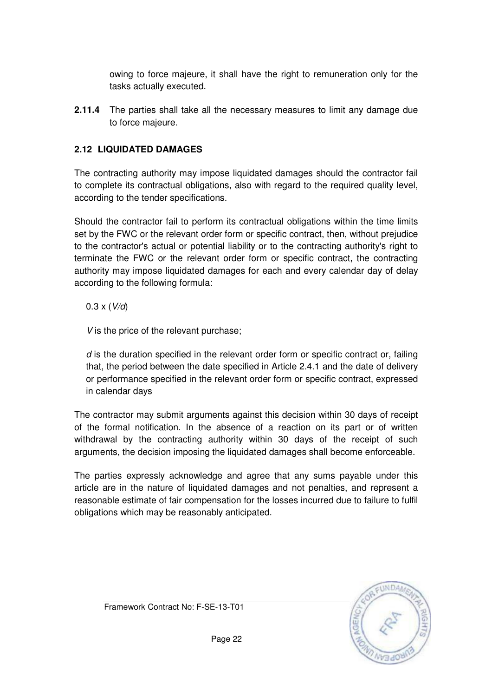owing to force majeure, it shall have the right to remuneration only for the tasks actually executed.

**2.11.4** The parties shall take all the necessary measures to limit any damage due to force majeure.

## **2.12 LIQUIDATED DAMAGES**

The contracting authority may impose liquidated damages should the contractor fail to complete its contractual obligations, also with regard to the required quality level, according to the tender specifications.

Should the contractor fail to perform its contractual obligations within the time limits set by the FWC or the relevant order form or specific contract, then, without prejudice to the contractor's actual or potential liability or to the contracting authority's right to terminate the FWC or the relevant order form or specific contract, the contracting authority may impose liquidated damages for each and every calendar day of delay according to the following formula:

 $0.3 \times (V/d)$ 

V is the price of the relevant purchase;

 $d$  is the duration specified in the relevant order form or specific contract or, failing that, the period between the date specified in Article 2.4.1 and the date of delivery or performance specified in the relevant order form or specific contract, expressed in calendar days

The contractor may submit arguments against this decision within 30 days of receipt of the formal notification. In the absence of a reaction on its part or of written withdrawal by the contracting authority within 30 days of the receipt of such arguments, the decision imposing the liquidated damages shall become enforceable.

The parties expressly acknowledge and agree that any sums payable under this article are in the nature of liquidated damages and not penalties, and represent a reasonable estimate of fair compensation for the losses incurred due to failure to fulfil obligations which may be reasonably anticipated.

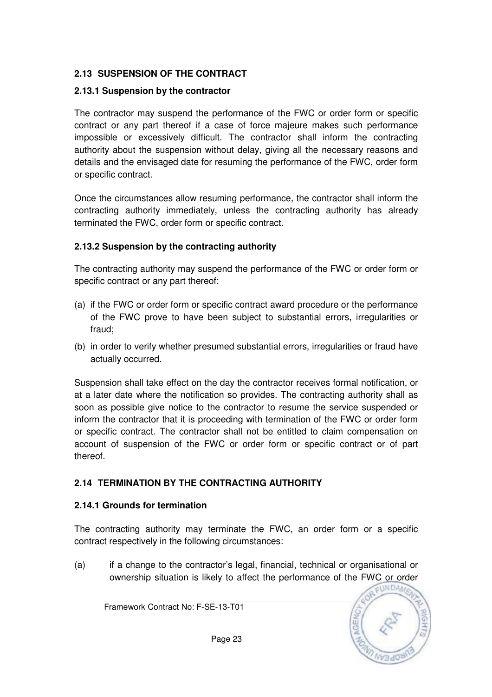## **2.13 SUSPENSION OF THE CONTRACT**

## **2.13.1 Suspension by the contractor**

The contractor may suspend the performance of the FWC or order form or specific contract or any part thereof if a case of force majeure makes such performance impossible or excessively difficult. The contractor shall inform the contracting authority about the suspension without delay, giving all the necessary reasons and details and the envisaged date for resuming the performance of the FWC, order form or specific contract.

Once the circumstances allow resuming performance, the contractor shall inform the contracting authority immediately, unless the contracting authority has already terminated the FWC, order form or specific contract.

## **2.13.2 Suspension by the contracting authority**

The contracting authority may suspend the performance of the FWC or order form or specific contract or any part thereof:

- (a) if the FWC or order form or specific contract award procedure or the performance of the FWC prove to have been subject to substantial errors, irregularities or fraud;
- (b) in order to verify whether presumed substantial errors, irregularities or fraud have actually occurred.

Suspension shall take effect on the day the contractor receives formal notification, or at a later date where the notification so provides. The contracting authority shall as soon as possible give notice to the contractor to resume the service suspended or inform the contractor that it is proceeding with termination of the FWC or order form or specific contract. The contractor shall not be entitled to claim compensation on account of suspension of the FWC or order form or specific contract or of part thereof.

## **2.14 TERMINATION BY THE CONTRACTING AUTHORITY**

## **2.14.1 Grounds for termination**

The contracting authority may terminate the FWC, an order form or a specific contract respectively in the following circumstances:

(a) if a change to the contractor's legal, financial, technical or organisational or ownership situation is likely to affect the performance of the FWC or order

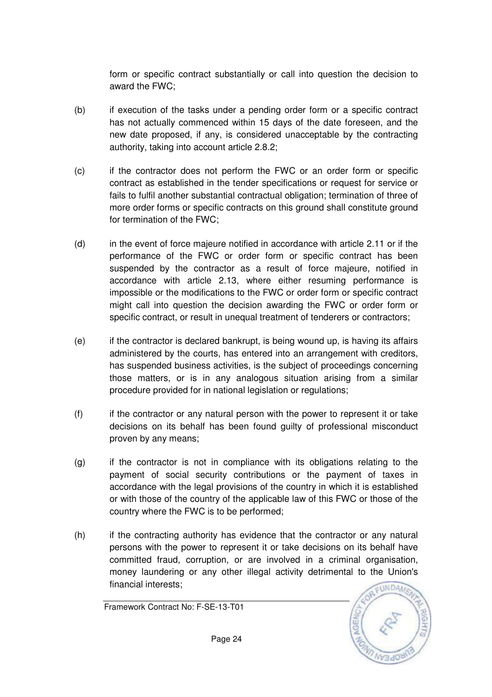form or specific contract substantially or call into question the decision to award the FWC;

- (b) if execution of the tasks under a pending order form or a specific contract has not actually commenced within 15 days of the date foreseen, and the new date proposed, if any, is considered unacceptable by the contracting authority, taking into account article 2.8.2;
- (c) if the contractor does not perform the FWC or an order form or specific contract as established in the tender specifications or request for service or fails to fulfil another substantial contractual obligation; termination of three of more order forms or specific contracts on this ground shall constitute ground for termination of the FWC;
- (d) in the event of force majeure notified in accordance with article 2.11 or if the performance of the FWC or order form or specific contract has been suspended by the contractor as a result of force majeure, notified in accordance with article 2.13, where either resuming performance is impossible or the modifications to the FWC or order form or specific contract might call into question the decision awarding the FWC or order form or specific contract, or result in unequal treatment of tenderers or contractors;
- (e) if the contractor is declared bankrupt, is being wound up, is having its affairs administered by the courts, has entered into an arrangement with creditors, has suspended business activities, is the subject of proceedings concerning those matters, or is in any analogous situation arising from a similar procedure provided for in national legislation or regulations;
- (f) if the contractor or any natural person with the power to represent it or take decisions on its behalf has been found guilty of professional misconduct proven by any means;
- (g) if the contractor is not in compliance with its obligations relating to the payment of social security contributions or the payment of taxes in accordance with the legal provisions of the country in which it is established or with those of the country of the applicable law of this FWC or those of the country where the FWC is to be performed;
- (h) if the contracting authority has evidence that the contractor or any natural persons with the power to represent it or take decisions on its behalf have committed fraud, corruption, or are involved in a criminal organisation, money laundering or any other illegal activity detrimental to the Union's financial interests;

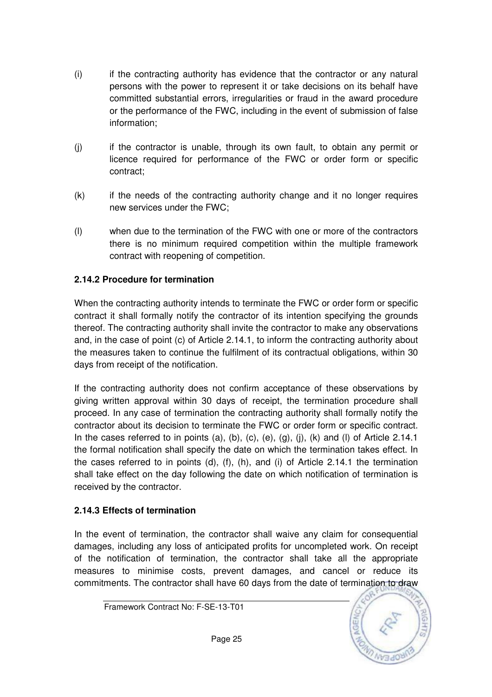- (i) if the contracting authority has evidence that the contractor or any natural persons with the power to represent it or take decisions on its behalf have committed substantial errors, irregularities or fraud in the award procedure or the performance of the FWC, including in the event of submission of false information;
- (j) if the contractor is unable, through its own fault, to obtain any permit or licence required for performance of the FWC or order form or specific contract;
- (k) if the needs of the contracting authority change and it no longer requires new services under the FWC;
- (l) when due to the termination of the FWC with one or more of the contractors there is no minimum required competition within the multiple framework contract with reopening of competition.

### **2.14.2 Procedure for termination**

When the contracting authority intends to terminate the FWC or order form or specific contract it shall formally notify the contractor of its intention specifying the grounds thereof. The contracting authority shall invite the contractor to make any observations and, in the case of point (c) of Article 2.14.1, to inform the contracting authority about the measures taken to continue the fulfilment of its contractual obligations, within 30 days from receipt of the notification.

If the contracting authority does not confirm acceptance of these observations by giving written approval within 30 days of receipt, the termination procedure shall proceed. In any case of termination the contracting authority shall formally notify the contractor about its decision to terminate the FWC or order form or specific contract. In the cases referred to in points (a), (b), (c), (e), (g), (j), (k) and (l) of Article 2.14.1 the formal notification shall specify the date on which the termination takes effect. In the cases referred to in points (d), (f), (h), and (i) of Article 2.14.1 the termination shall take effect on the day following the date on which notification of termination is received by the contractor.

#### **2.14.3 Effects of termination**

In the event of termination, the contractor shall waive any claim for consequential damages, including any loss of anticipated profits for uncompleted work. On receipt of the notification of termination, the contractor shall take all the appropriate measures to minimise costs, prevent damages, and cancel or reduce its commitments. The contractor shall have 60 days from the date of termination to draw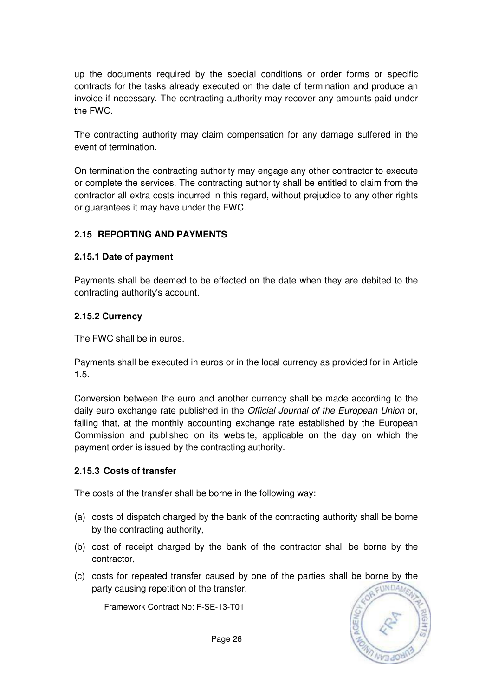up the documents required by the special conditions or order forms or specific contracts for the tasks already executed on the date of termination and produce an invoice if necessary. The contracting authority may recover any amounts paid under the FWC.

The contracting authority may claim compensation for any damage suffered in the event of termination.

On termination the contracting authority may engage any other contractor to execute or complete the services. The contracting authority shall be entitled to claim from the contractor all extra costs incurred in this regard, without prejudice to any other rights or guarantees it may have under the FWC.

### **2.15 REPORTING AND PAYMENTS**

#### **2.15.1 Date of payment**

Payments shall be deemed to be effected on the date when they are debited to the contracting authority's account.

#### **2.15.2 Currency**

The FWC shall be in euros.

Payments shall be executed in euros or in the local currency as provided for in Article 1.5.

Conversion between the euro and another currency shall be made according to the daily euro exchange rate published in the Official Journal of the European Union or, failing that, at the monthly accounting exchange rate established by the European Commission and published on its website, applicable on the day on which the payment order is issued by the contracting authority.

#### **2.15.3 Costs of transfer**

The costs of the transfer shall be borne in the following way:

- (a) costs of dispatch charged by the bank of the contracting authority shall be borne by the contracting authority,
- (b) cost of receipt charged by the bank of the contractor shall be borne by the contractor,
- (c) costs for repeated transfer caused by one of the parties shall be borne by the party causing repetition of the transfer.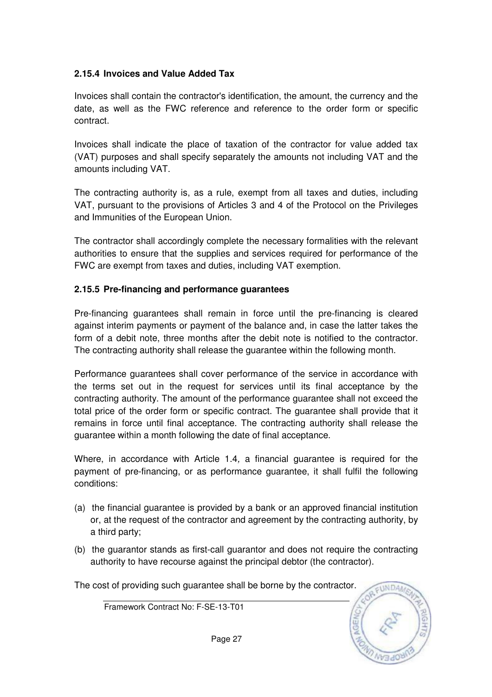## **2.15.4 Invoices and Value Added Tax**

Invoices shall contain the contractor's identification, the amount, the currency and the date, as well as the FWC reference and reference to the order form or specific contract.

Invoices shall indicate the place of taxation of the contractor for value added tax (VAT) purposes and shall specify separately the amounts not including VAT and the amounts including VAT.

The contracting authority is, as a rule, exempt from all taxes and duties, including VAT, pursuant to the provisions of Articles 3 and 4 of the Protocol on the Privileges and Immunities of the European Union.

The contractor shall accordingly complete the necessary formalities with the relevant authorities to ensure that the supplies and services required for performance of the FWC are exempt from taxes and duties, including VAT exemption.

### **2.15.5 Pre-financing and performance guarantees**

Pre-financing guarantees shall remain in force until the pre-financing is cleared against interim payments or payment of the balance and, in case the latter takes the form of a debit note, three months after the debit note is notified to the contractor. The contracting authority shall release the guarantee within the following month.

Performance guarantees shall cover performance of the service in accordance with the terms set out in the request for services until its final acceptance by the contracting authority. The amount of the performance guarantee shall not exceed the total price of the order form or specific contract. The guarantee shall provide that it remains in force until final acceptance. The contracting authority shall release the guarantee within a month following the date of final acceptance.

Where, in accordance with Article 1.4, a financial guarantee is required for the payment of pre-financing, or as performance guarantee, it shall fulfil the following conditions:

- (a) the financial guarantee is provided by a bank or an approved financial institution or, at the request of the contractor and agreement by the contracting authority, by a third party;
- (b) the guarantor stands as first-call guarantor and does not require the contracting authority to have recourse against the principal debtor (the contractor).

The cost of providing such guarantee shall be borne by the contractor.

Framework Contract No: F-SE-13-T01

EUNDA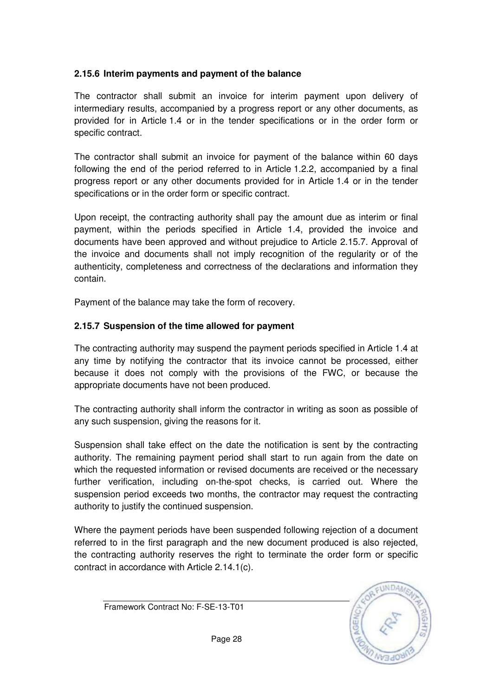### **2.15.6 Interim payments and payment of the balance**

The contractor shall submit an invoice for interim payment upon delivery of intermediary results, accompanied by a progress report or any other documents, as provided for in Article 1.4 or in the tender specifications or in the order form or specific contract.

The contractor shall submit an invoice for payment of the balance within 60 days following the end of the period referred to in Article 1.2.2, accompanied by a final progress report or any other documents provided for in Article 1.4 or in the tender specifications or in the order form or specific contract.

Upon receipt, the contracting authority shall pay the amount due as interim or final payment, within the periods specified in Article 1.4, provided the invoice and documents have been approved and without prejudice to Article 2.15.7. Approval of the invoice and documents shall not imply recognition of the regularity or of the authenticity, completeness and correctness of the declarations and information they contain.

Payment of the balance may take the form of recovery.

### **2.15.7 Suspension of the time allowed for payment**

The contracting authority may suspend the payment periods specified in Article 1.4 at any time by notifying the contractor that its invoice cannot be processed, either because it does not comply with the provisions of the FWC, or because the appropriate documents have not been produced.

The contracting authority shall inform the contractor in writing as soon as possible of any such suspension, giving the reasons for it.

Suspension shall take effect on the date the notification is sent by the contracting authority. The remaining payment period shall start to run again from the date on which the requested information or revised documents are received or the necessary further verification, including on-the-spot checks, is carried out. Where the suspension period exceeds two months, the contractor may request the contracting authority to justify the continued suspension.

Where the payment periods have been suspended following rejection of a document referred to in the first paragraph and the new document produced is also rejected, the contracting authority reserves the right to terminate the order form or specific contract in accordance with Article 2.14.1(c).

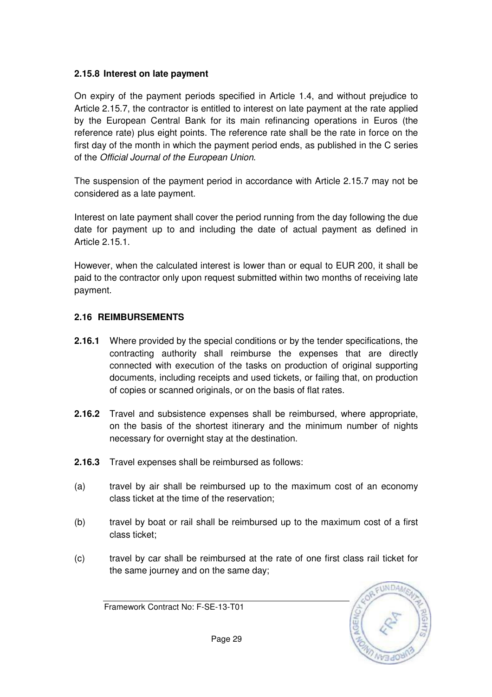### **2.15.8 Interest on late payment**

On expiry of the payment periods specified in Article 1.4, and without prejudice to Article 2.15.7, the contractor is entitled to interest on late payment at the rate applied by the European Central Bank for its main refinancing operations in Euros (the reference rate) plus eight points. The reference rate shall be the rate in force on the first day of the month in which the payment period ends, as published in the C series of the Official Journal of the European Union.

The suspension of the payment period in accordance with Article 2.15.7 may not be considered as a late payment.

Interest on late payment shall cover the period running from the day following the due date for payment up to and including the date of actual payment as defined in Article 2.15.1.

However, when the calculated interest is lower than or equal to EUR 200, it shall be paid to the contractor only upon request submitted within two months of receiving late payment.

## **2.16 REIMBURSEMENTS**

- **2.16.1** Where provided by the special conditions or by the tender specifications, the contracting authority shall reimburse the expenses that are directly connected with execution of the tasks on production of original supporting documents, including receipts and used tickets, or failing that, on production of copies or scanned originals, or on the basis of flat rates.
- **2.16.2** Travel and subsistence expenses shall be reimbursed, where appropriate, on the basis of the shortest itinerary and the minimum number of nights necessary for overnight stay at the destination.
- **2.16.3** Travel expenses shall be reimbursed as follows:
- (a) travel by air shall be reimbursed up to the maximum cost of an economy class ticket at the time of the reservation;
- (b) travel by boat or rail shall be reimbursed up to the maximum cost of a first class ticket;
- (c) travel by car shall be reimbursed at the rate of one first class rail ticket for the same journey and on the same day;



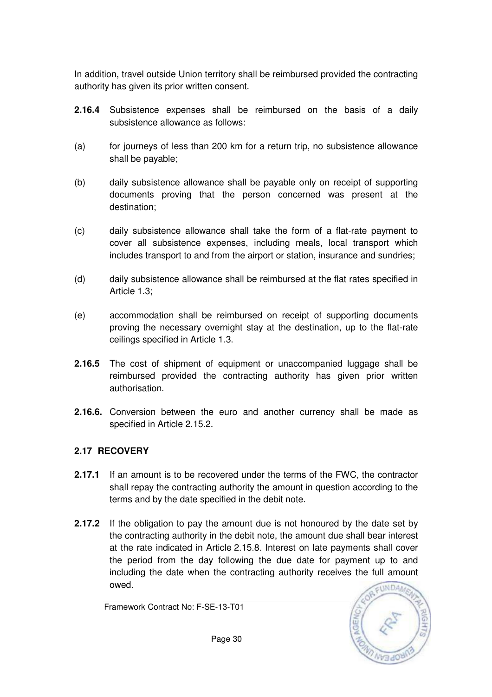In addition, travel outside Union territory shall be reimbursed provided the contracting authority has given its prior written consent.

- **2.16.4** Subsistence expenses shall be reimbursed on the basis of a daily subsistence allowance as follows:
- (a) for journeys of less than 200 km for a return trip, no subsistence allowance shall be payable;
- (b) daily subsistence allowance shall be payable only on receipt of supporting documents proving that the person concerned was present at the destination;
- (c) daily subsistence allowance shall take the form of a flat-rate payment to cover all subsistence expenses, including meals, local transport which includes transport to and from the airport or station, insurance and sundries;
- (d) daily subsistence allowance shall be reimbursed at the flat rates specified in Article 1.3;
- (e) accommodation shall be reimbursed on receipt of supporting documents proving the necessary overnight stay at the destination, up to the flat-rate ceilings specified in Article 1.3.
- **2.16.5** The cost of shipment of equipment or unaccompanied luggage shall be reimbursed provided the contracting authority has given prior written authorisation.
- **2.16.6.** Conversion between the euro and another currency shall be made as specified in Article 2.15.2.

## **2.17 RECOVERY**

- **2.17.1** If an amount is to be recovered under the terms of the FWC, the contractor shall repay the contracting authority the amount in question according to the terms and by the date specified in the debit note.
- **2.17.2** If the obligation to pay the amount due is not honoured by the date set by the contracting authority in the debit note, the amount due shall bear interest at the rate indicated in Article 2.15.8. Interest on late payments shall cover the period from the day following the due date for payment up to and including the date when the contracting authority receives the full amount owed.



Framework Contract No: F-SE-13-T01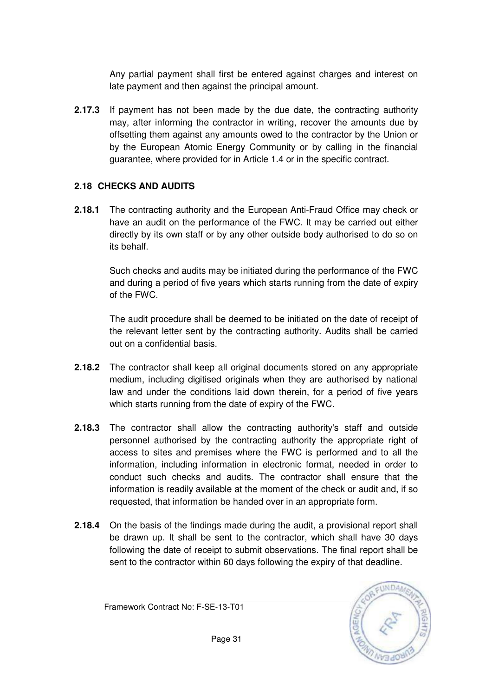Any partial payment shall first be entered against charges and interest on late payment and then against the principal amount.

**2.17.3** If payment has not been made by the due date, the contracting authority may, after informing the contractor in writing, recover the amounts due by offsetting them against any amounts owed to the contractor by the Union or by the European Atomic Energy Community or by calling in the financial guarantee, where provided for in Article 1.4 or in the specific contract.

## **2.18 CHECKS AND AUDITS**

**2.18.1** The contracting authority and the European Anti-Fraud Office may check or have an audit on the performance of the FWC. It may be carried out either directly by its own staff or by any other outside body authorised to do so on its behalf.

> Such checks and audits may be initiated during the performance of the FWC and during a period of five years which starts running from the date of expiry of the FWC.

> The audit procedure shall be deemed to be initiated on the date of receipt of the relevant letter sent by the contracting authority. Audits shall be carried out on a confidential basis.

- **2.18.2** The contractor shall keep all original documents stored on any appropriate medium, including digitised originals when they are authorised by national law and under the conditions laid down therein, for a period of five years which starts running from the date of expiry of the FWC.
- **2.18.3** The contractor shall allow the contracting authority's staff and outside personnel authorised by the contracting authority the appropriate right of access to sites and premises where the FWC is performed and to all the information, including information in electronic format, needed in order to conduct such checks and audits. The contractor shall ensure that the information is readily available at the moment of the check or audit and, if so requested, that information be handed over in an appropriate form.
- **2.18.4** On the basis of the findings made during the audit, a provisional report shall be drawn up. It shall be sent to the contractor, which shall have 30 days following the date of receipt to submit observations. The final report shall be sent to the contractor within 60 days following the expiry of that deadline.



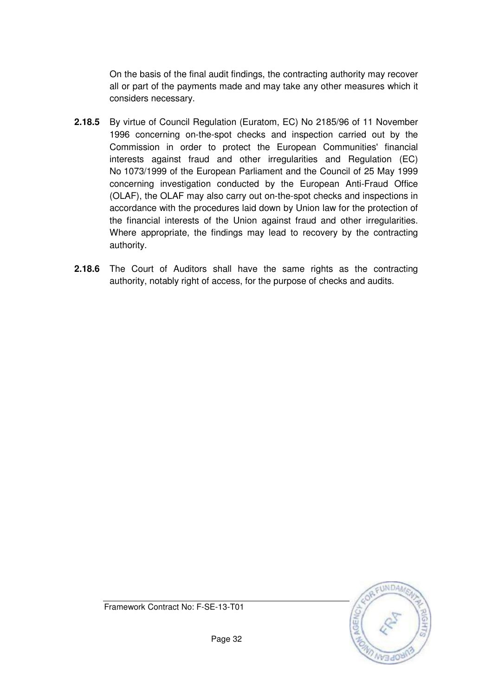On the basis of the final audit findings, the contracting authority may recover all or part of the payments made and may take any other measures which it considers necessary.

- **2.18.5** By virtue of Council Regulation (Euratom, EC) No 2185/96 of 11 November 1996 concerning on-the-spot checks and inspection carried out by the Commission in order to protect the European Communities' financial interests against fraud and other irregularities and Regulation (EC) No 1073/1999 of the European Parliament and the Council of 25 May 1999 concerning investigation conducted by the European Anti-Fraud Office (OLAF), the OLAF may also carry out on-the-spot checks and inspections in accordance with the procedures laid down by Union law for the protection of the financial interests of the Union against fraud and other irregularities. Where appropriate, the findings may lead to recovery by the contracting authority.
- **2.18.6** The Court of Auditors shall have the same rights as the contracting authority, notably right of access, for the purpose of checks and audits.



Framework Contract No: F-SE-13-T01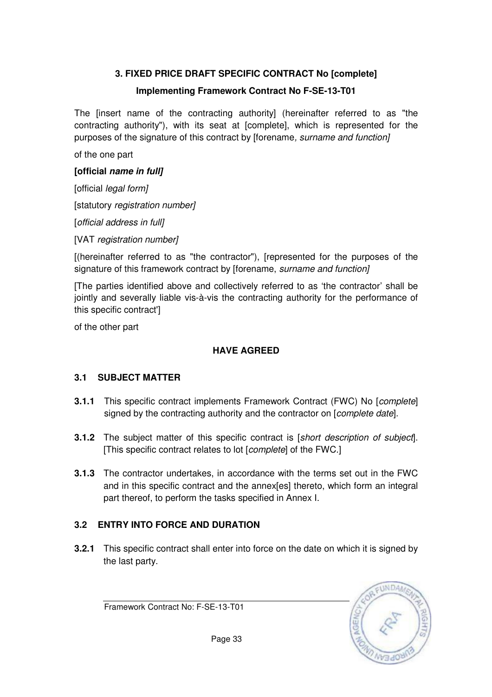## **3. FIXED PRICE DRAFT SPECIFIC CONTRACT No [complete]**

### **Implementing Framework Contract No F-SE-13-T01**

The [insert name of the contracting authority] (hereinafter referred to as "the contracting authority"), with its seat at [complete], which is represented for the purposes of the signature of this contract by [forename, surname and function]

of the one part

#### **[official name in full]**

[official legal form]

[statutory registration number]

[official address in full]

[VAT registration number]

[(hereinafter referred to as "the contractor"), [represented for the purposes of the signature of this framework contract by [forename, surname and function]

[The parties identified above and collectively referred to as 'the contractor' shall be jointly and severally liable vis-à-vis the contracting authority for the performance of this specific contract']

of the other part

## **HAVE AGREED**

#### **3.1 SUBJECT MATTER**

- **3.1.1** This specific contract implements Framework Contract (FWC) No [*complete*] signed by the contracting authority and the contractor on [*complete date*].
- **3.1.2** The subject matter of this specific contract is [short description of subject]. [This specific contract relates to lot [complete] of the FWC.]
- **3.1.3** The contractor undertakes, in accordance with the terms set out in the FWC and in this specific contract and the annex[es] thereto, which form an integral part thereof, to perform the tasks specified in Annex I.

## **3.2 ENTRY INTO FORCE AND DURATION**

**3.2.1** This specific contract shall enter into force on the date on which it is signed by the last party.



Framework Contract No: F-SE-13-T01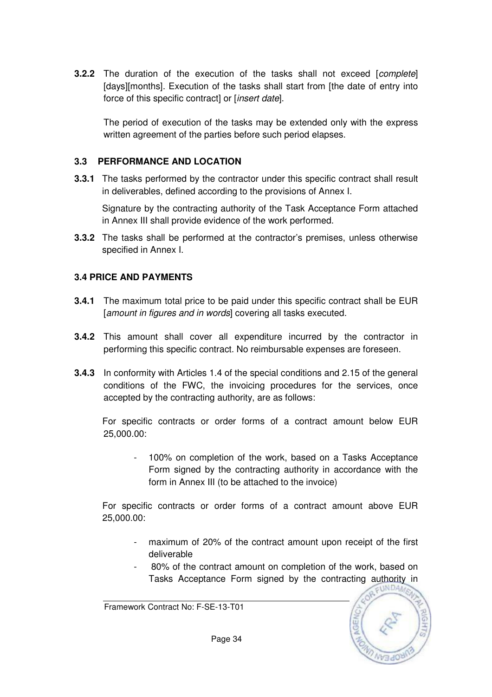**3.2.2** The duration of the execution of the tasks shall not exceed [complete] [days][months]. Execution of the tasks shall start from [the date of entry into force of this specific contract] or [insert date].

The period of execution of the tasks may be extended only with the express written agreement of the parties before such period elapses.

#### **3.3 PERFORMANCE AND LOCATION**

**3.3.1** The tasks performed by the contractor under this specific contract shall result in deliverables, defined according to the provisions of Annex I.

 Signature by the contracting authority of the Task Acceptance Form attached in Annex III shall provide evidence of the work performed.

**3.3.2** The tasks shall be performed at the contractor's premises, unless otherwise specified in Annex I.

#### **3.4 PRICE AND PAYMENTS**

- **3.4.1** The maximum total price to be paid under this specific contract shall be EUR [amount in figures and in words] covering all tasks executed.
- **3.4.2** This amount shall cover all expenditure incurred by the contractor in performing this specific contract. No reimbursable expenses are foreseen.
- **3.4.3** In conformity with Articles 1.4 of the special conditions and 2.15 of the general conditions of the FWC, the invoicing procedures for the services, once accepted by the contracting authority, are as follows:

For specific contracts or order forms of a contract amount below EUR 25,000.00:

- 100% on completion of the work, based on a Tasks Acceptance Form signed by the contracting authority in accordance with the form in Annex III (to be attached to the invoice)

For specific contracts or order forms of a contract amount above EUR 25,000.00:

- maximum of 20% of the contract amount upon receipt of the first deliverable
- 80% of the contract amount on completion of the work, based on Tasks Acceptance Form signed by the contracting authority in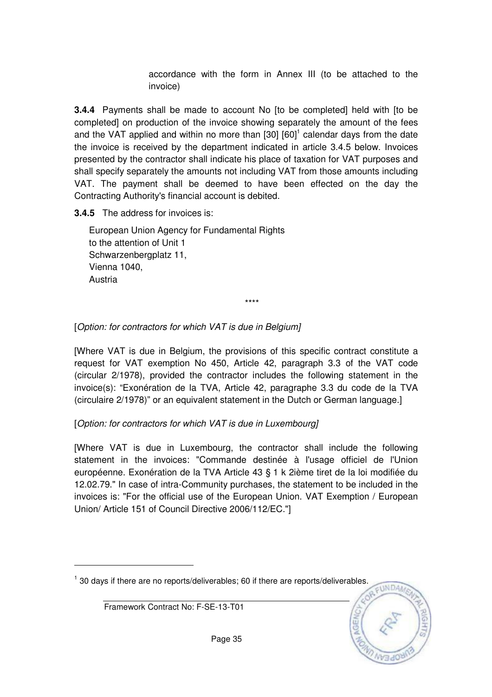accordance with the form in Annex III (to be attached to the invoice)

**3.4.4** Payments shall be made to account No [to be completed] held with [to be completed] on production of the invoice showing separately the amount of the fees and the VAT applied and within no more than  $[30]$   $[60]$ <sup>1</sup> calendar days from the date the invoice is received by the department indicated in article 3.4.5 below. Invoices presented by the contractor shall indicate his place of taxation for VAT purposes and shall specify separately the amounts not including VAT from those amounts including VAT. The payment shall be deemed to have been effected on the day the Contracting Authority's financial account is debited.

**3.4.5** The address for invoices is:

European Union Agency for Fundamental Rights to the attention of Unit 1 Schwarzenbergplatz 11, Vienna 1040, Austria

\*\*\*\*

### [Option: for contractors for which VAT is due in Belgium]

[Where VAT is due in Belgium, the provisions of this specific contract constitute a request for VAT exemption No 450, Article 42, paragraph 3.3 of the VAT code (circular 2/1978), provided the contractor includes the following statement in the invoice(s): "Exonération de la TVA, Article 42, paragraphe 3.3 du code de la TVA (circulaire 2/1978)" or an equivalent statement in the Dutch or German language.]

## [Option: for contractors for which VAT is due in Luxembourg]

[Where VAT is due in Luxembourg, the contractor shall include the following statement in the invoices: "Commande destinée à l'usage officiel de l'Union européenne. Exonération de la TVA Article 43 § 1 k 2ième tiret de la loi modifiée du 12.02.79." In case of intra-Community purchases, the statement to be included in the invoices is: "For the official use of the European Union. VAT Exemption / European Union/ Article 151 of Council Directive 2006/112/EC."]

<sup>1</sup> 30 days if there are no reports/deliverables; 60 if there are reports/deliverables.

Framework Contract No: F-SE-13-T01

 $\overline{a}$ 

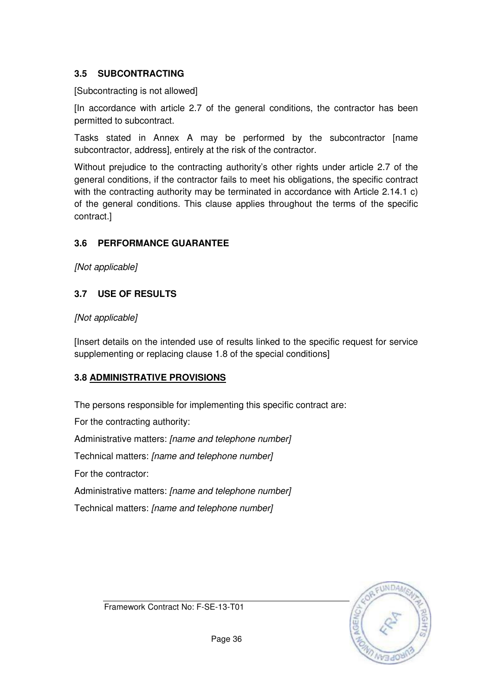## **3.5 SUBCONTRACTING**

[Subcontracting is not allowed]

[In accordance with article 2.7 of the general conditions, the contractor has been permitted to subcontract.

Tasks stated in Annex A may be performed by the subcontractor [name subcontractor, address], entirely at the risk of the contractor.

Without prejudice to the contracting authority's other rights under article 2.7 of the general conditions, if the contractor fails to meet his obligations, the specific contract with the contracting authority may be terminated in accordance with Article 2.14.1 c) of the general conditions. This clause applies throughout the terms of the specific contract.]

## **3.6 PERFORMANCE GUARANTEE**

[Not applicable]

## **3.7 USE OF RESULTS**

## [Not applicable]

[Insert details on the intended use of results linked to the specific request for service supplementing or replacing clause 1.8 of the special conditions]

## **3.8 ADMINISTRATIVE PROVISIONS**

The persons responsible for implementing this specific contract are:

For the contracting authority: Administrative matters: [name and telephone number] Technical matters: [name and telephone number] For the contractor: Administrative matters: [name and telephone number] Technical matters: [name and telephone number]



Framework Contract No: F-SE-13-T01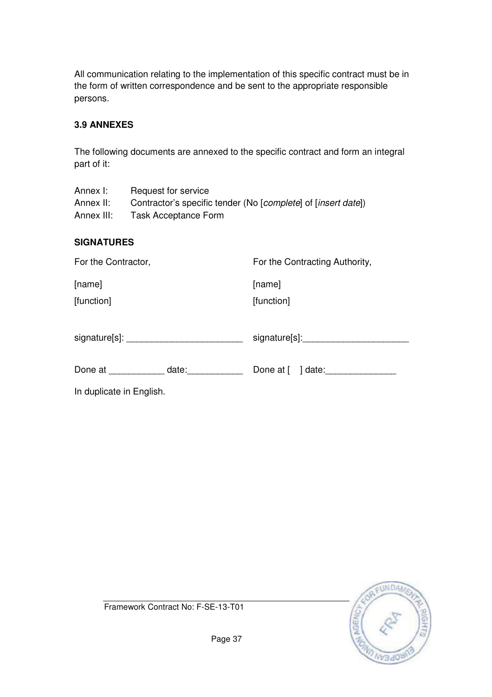All communication relating to the implementation of this specific contract must be in the form of written correspondence and be sent to the appropriate responsible persons.

### **3.9 ANNEXES**

The following documents are annexed to the specific contract and form an integral part of it:

| Annex I:   | Request for service                                           |
|------------|---------------------------------------------------------------|
| Annex II:  | Contractor's specific tender (No [complete] of [insert date]) |
| Annex III: | Task Acceptance Form                                          |

#### **SIGNATURES**

| For the Contractor,      | For the Contracting Authority, |
|--------------------------|--------------------------------|
| [name]                   | [name]                         |
| [function]               | [function]                     |
|                          |                                |
| Done at date:            | Done at [ ] date:              |
| In duplicate in English. |                                |

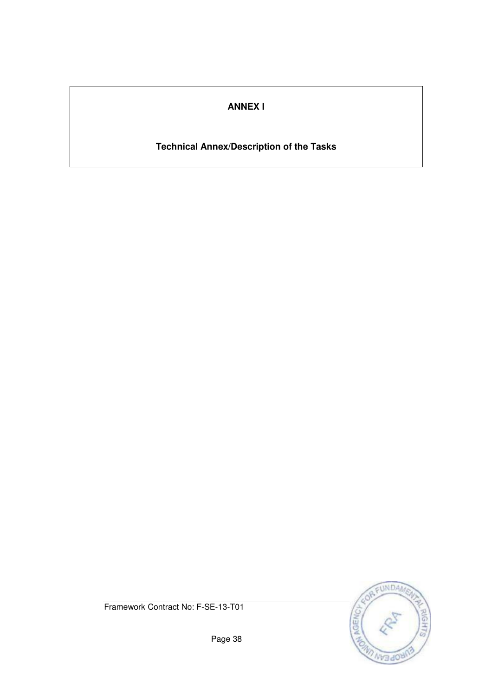## **ANNEX I**

## **Technical Annex/Description of the Tasks**



Framework Contract No: F-SE-13-T01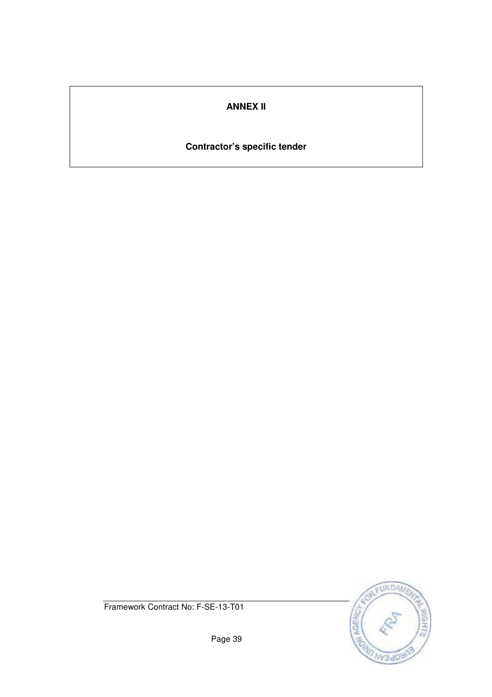## **ANNEX II**

## **Contractor's specific tender**



Framework Contract No: F-SE-13-T01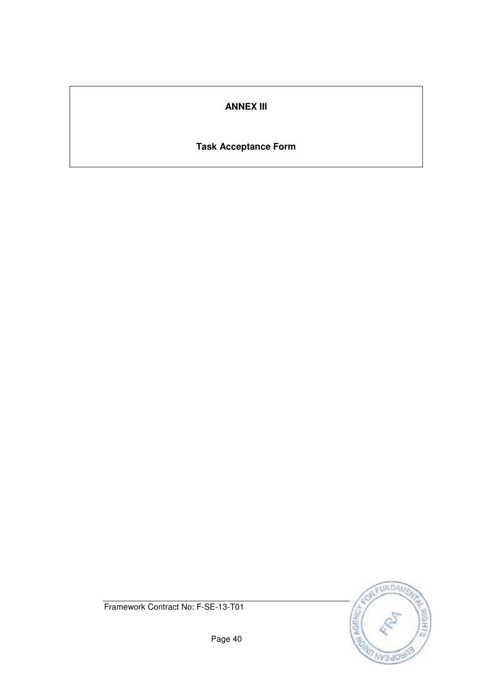## **ANNEX III**

## **Task Acceptance Form**



Framework Contract No: F-SE-13-T01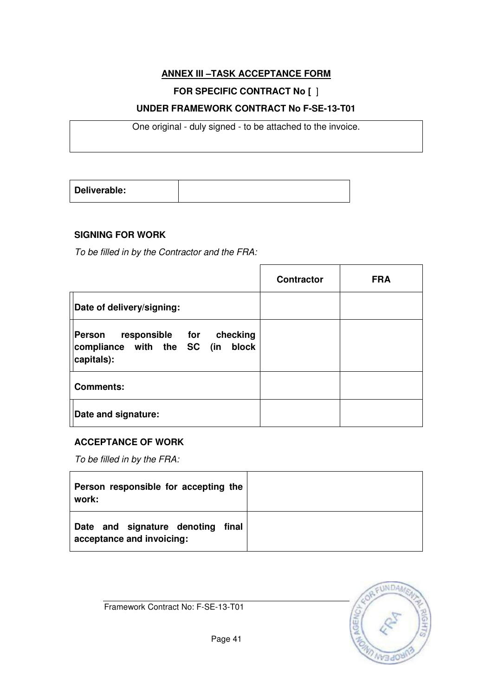## **ANNEX III –TASK ACCEPTANCE FORM**

## **FOR SPECIFIC CONTRACT No [** ]

### **UNDER FRAMEWORK CONTRACT No F-SE-13-T01**

One original - duly signed - to be attached to the invoice.

| Deliverable: |  |
|--------------|--|
|              |  |

## **SIGNING FOR WORK**

To be filled in by the Contractor and the FRA:

|                                                                                      | <b>Contractor</b> | <b>FRA</b> |
|--------------------------------------------------------------------------------------|-------------------|------------|
| Date of delivery/signing:                                                            |                   |            |
| responsible for checking<br>Person<br>compliance with the SC (in block<br>capitals): |                   |            |
| <b>Comments:</b>                                                                     |                   |            |
| Date and signature:                                                                  |                   |            |

#### **ACCEPTANCE OF WORK**

To be filled in by the FRA:

| Person responsible for accepting the<br>work:                     |  |
|-------------------------------------------------------------------|--|
| Date and signature denoting<br>final<br>acceptance and invoicing: |  |

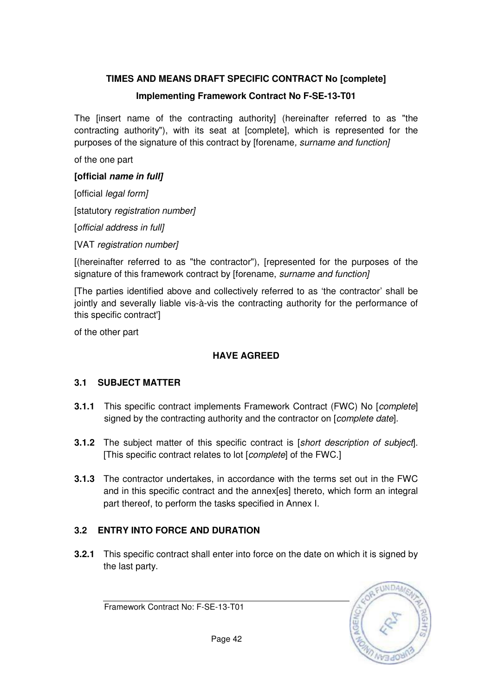## **TIMES AND MEANS DRAFT SPECIFIC CONTRACT No [complete]**

### **Implementing Framework Contract No F-SE-13-T01**

The [insert name of the contracting authority] (hereinafter referred to as "the contracting authority"), with its seat at [complete], which is represented for the purposes of the signature of this contract by [forename, surname and function]

of the one part

#### **[official name in full]**

[official *legal form]* 

[statutory registration number]

[official address in full]

[VAT registration number]

[(hereinafter referred to as "the contractor"), [represented for the purposes of the signature of this framework contract by [forename, surname and function]

[The parties identified above and collectively referred to as 'the contractor' shall be jointly and severally liable vis-à-vis the contracting authority for the performance of this specific contract']

of the other part

#### **HAVE AGREED**

#### **3.1 SUBJECT MATTER**

- **3.1.1** This specific contract implements Framework Contract (FWC) No [*complete*] signed by the contracting authority and the contractor on [*complete date*].
- **3.1.2** The subject matter of this specific contract is [short description of subject]. [This specific contract relates to lot [complete] of the FWC.]
- **3.1.3** The contractor undertakes, in accordance with the terms set out in the FWC and in this specific contract and the annex[es] thereto, which form an integral part thereof, to perform the tasks specified in Annex I.

## **3.2 ENTRY INTO FORCE AND DURATION**

**3.2.1** This specific contract shall enter into force on the date on which it is signed by the last party.

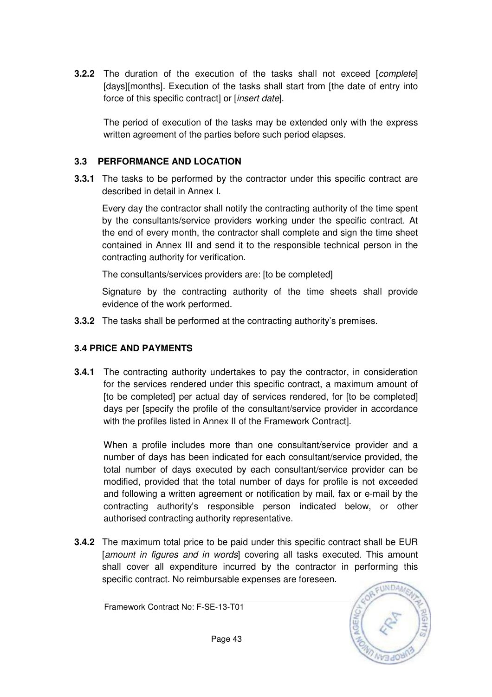**3.2.2** The duration of the execution of the tasks shall not exceed [complete] [days][months]. Execution of the tasks shall start from [the date of entry into force of this specific contract] or [insert date].

The period of execution of the tasks may be extended only with the express written agreement of the parties before such period elapses.

### **3.3 PERFORMANCE AND LOCATION**

**3.3.1** The tasks to be performed by the contractor under this specific contract are described in detail in Annex I.

Every day the contractor shall notify the contracting authority of the time spent by the consultants/service providers working under the specific contract. At the end of every month, the contractor shall complete and sign the time sheet contained in Annex III and send it to the responsible technical person in the contracting authority for verification.

The consultants/services providers are: [to be completed]

 Signature by the contracting authority of the time sheets shall provide evidence of the work performed.

**3.3.2** The tasks shall be performed at the contracting authority's premises.

## **3.4 PRICE AND PAYMENTS**

**3.4.1** The contracting authority undertakes to pay the contractor, in consideration for the services rendered under this specific contract, a maximum amount of [to be completed] per actual day of services rendered, for [to be completed] days per [specify the profile of the consultant/service provider in accordance with the profiles listed in Annex II of the Framework Contract].

When a profile includes more than one consultant/service provider and a number of days has been indicated for each consultant/service provided, the total number of days executed by each consultant/service provider can be modified, provided that the total number of days for profile is not exceeded and following a written agreement or notification by mail, fax or e-mail by the contracting authority's responsible person indicated below, or other authorised contracting authority representative.

**3.4.2** The maximum total price to be paid under this specific contract shall be EUR [amount in figures and in words] covering all tasks executed. This amount shall cover all expenditure incurred by the contractor in performing this specific contract. No reimbursable expenses are foreseen.

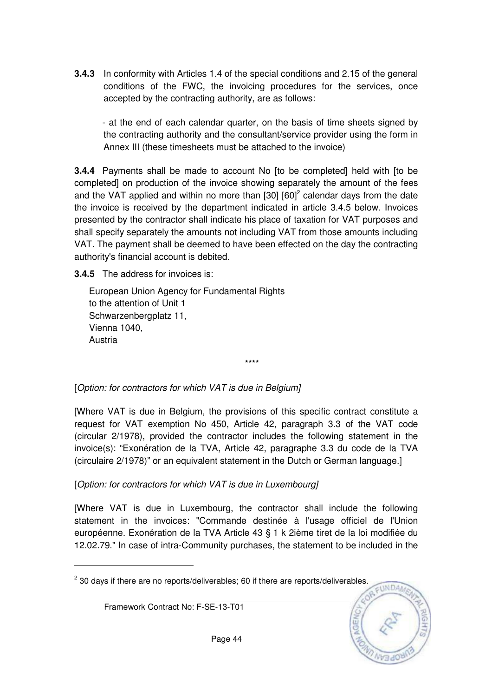**3.4.3** In conformity with Articles 1.4 of the special conditions and 2.15 of the general conditions of the FWC, the invoicing procedures for the services, once accepted by the contracting authority, are as follows:

- at the end of each calendar quarter, on the basis of time sheets signed by the contracting authority and the consultant/service provider using the form in Annex III (these timesheets must be attached to the invoice)

**3.4.4** Payments shall be made to account No [to be completed] held with [to be completed] on production of the invoice showing separately the amount of the fees and the VAT applied and within no more than  $[30]$   $[60]^2$  calendar days from the date the invoice is received by the department indicated in article 3.4.5 below. Invoices presented by the contractor shall indicate his place of taxation for VAT purposes and shall specify separately the amounts not including VAT from those amounts including VAT. The payment shall be deemed to have been effected on the day the contracting authority's financial account is debited.

**3.4.5** The address for invoices is:

European Union Agency for Fundamental Rights to the attention of Unit 1 Schwarzenbergplatz 11, Vienna 1040, Austria

[Option: for contractors for which VAT is due in Belgium]

[Where VAT is due in Belgium, the provisions of this specific contract constitute a request for VAT exemption No 450, Article 42, paragraph 3.3 of the VAT code (circular 2/1978), provided the contractor includes the following statement in the invoice(s): "Exonération de la TVA, Article 42, paragraphe 3.3 du code de la TVA (circulaire 2/1978)" or an equivalent statement in the Dutch or German language.]

\*\*\*\*

[Option: for contractors for which VAT is due in Luxembourg]

[Where VAT is due in Luxembourg, the contractor shall include the following statement in the invoices: "Commande destinée à l'usage officiel de l'Union européenne. Exonération de la TVA Article 43 § 1 k 2ième tiret de la loi modifiée du 12.02.79." In case of intra-Community purchases, the statement to be included in the

CUNDA

 $2$  30 days if there are no reports/deliverables; 60 if there are reports/deliverables.

Framework Contract No: F-SE-13-T01

 $\overline{a}$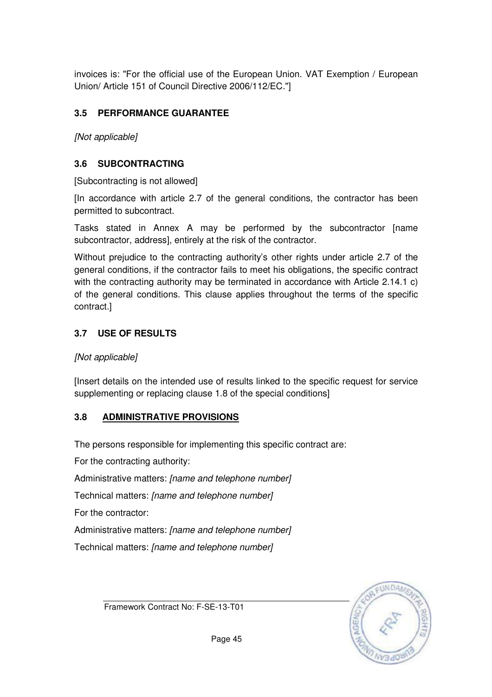invoices is: "For the official use of the European Union. VAT Exemption / European Union/ Article 151 of Council Directive 2006/112/EC."]

## **3.5 PERFORMANCE GUARANTEE**

[Not applicable]

## **3.6 SUBCONTRACTING**

[Subcontracting is not allowed]

[In accordance with article 2.7 of the general conditions, the contractor has been permitted to subcontract.

Tasks stated in Annex A may be performed by the subcontractor [name subcontractor, address], entirely at the risk of the contractor.

Without prejudice to the contracting authority's other rights under article 2.7 of the general conditions, if the contractor fails to meet his obligations, the specific contract with the contracting authority may be terminated in accordance with Article 2.14.1 c) of the general conditions. This clause applies throughout the terms of the specific contract.]

## **3.7 USE OF RESULTS**

#### [Not applicable]

[Insert details on the intended use of results linked to the specific request for service supplementing or replacing clause 1.8 of the special conditions]

## **3.8 ADMINISTRATIVE PROVISIONS**

The persons responsible for implementing this specific contract are:

For the contracting authority:

Administrative matters: [name and telephone number]

Technical matters: [name and telephone number]

For the contractor:

Administrative matters: [name and telephone number]

Technical matters: [name and telephone number]



Framework Contract No: F-SE-13-T01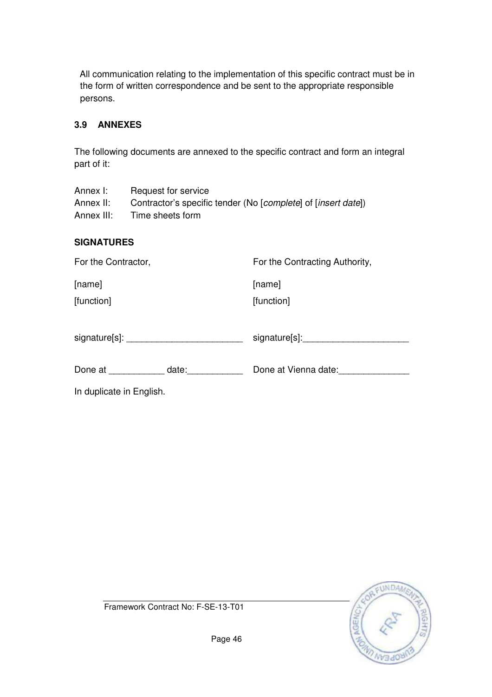All communication relating to the implementation of this specific contract must be in the form of written correspondence and be sent to the appropriate responsible persons.

### **3.9 ANNEXES**

The following documents are annexed to the specific contract and form an integral part of it:

Annex I: Request for service Annex II: Contractor's specific tender (No [complete] of [insert date]) Annex III: Time sheets form

#### **SIGNATURES**

| For the Contractor,      |       | For the Contracting Authority, |  |
|--------------------------|-------|--------------------------------|--|
| [name]                   |       | [name]                         |  |
| [function]               |       | [function]                     |  |
|                          |       |                                |  |
|                          |       | signature[s]: ______________   |  |
| Done at                  | date: | Done at Vienna date:           |  |
| In duplicate in English. |       |                                |  |



Framework Contract No: F-SE-13-T01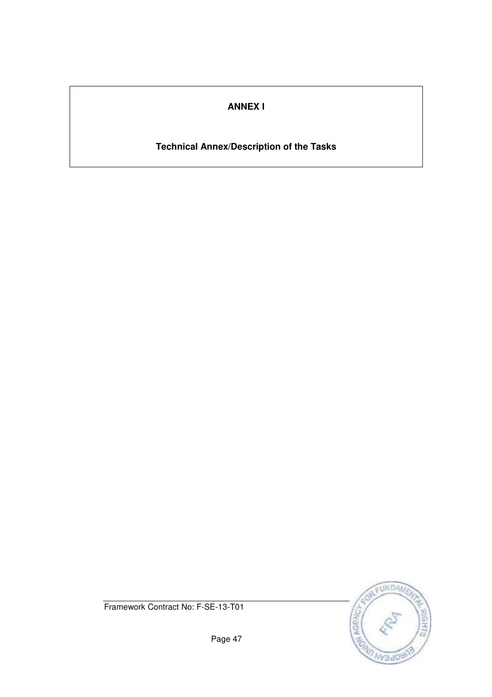## **ANNEX I**

## **Technical Annex/Description of the Tasks**



Framework Contract No: F-SE-13-T01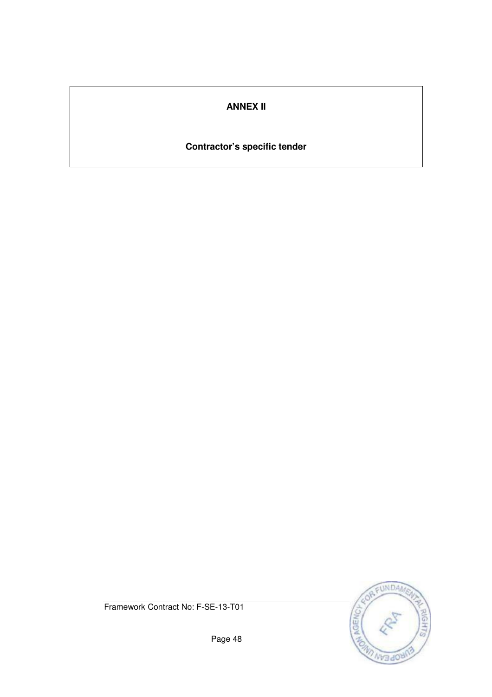## **ANNEX II**

## **Contractor's specific tender**



Framework Contract No: F-SE-13-T01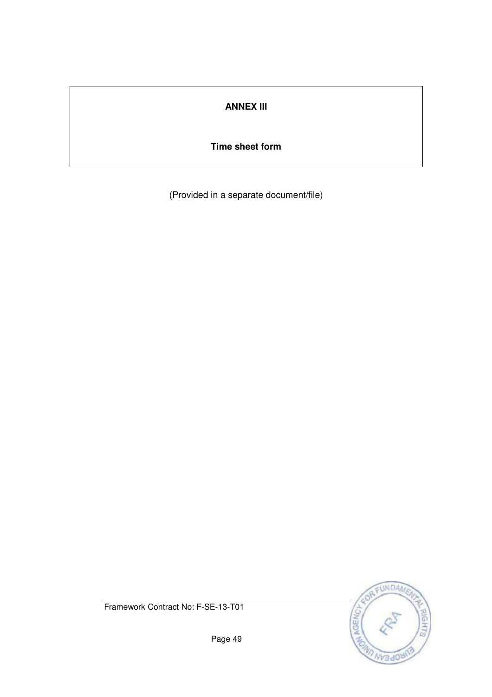## **ANNEX III**

### **Time sheet form**

(Provided in a separate document/file)



Framework Contract No: F-SE-13-T01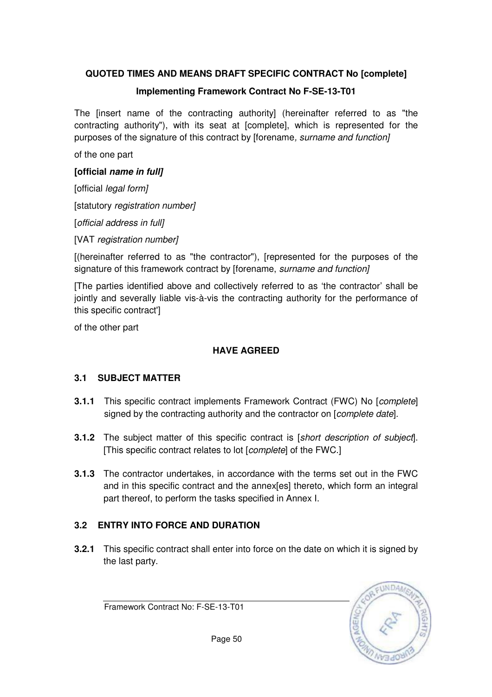## **QUOTED TIMES AND MEANS DRAFT SPECIFIC CONTRACT No [complete]**

## **Implementing Framework Contract No F-SE-13-T01**

The [insert name of the contracting authority] (hereinafter referred to as "the contracting authority"), with its seat at [complete], which is represented for the purposes of the signature of this contract by [forename, surname and function]

of the one part

## **[official name in full]**

[official *legal form]* 

[statutory registration number]

[official address in full]

[VAT registration number]

[(hereinafter referred to as "the contractor"), [represented for the purposes of the signature of this framework contract by [forename, surname and function]

[The parties identified above and collectively referred to as 'the contractor' shall be jointly and severally liable vis-à-vis the contracting authority for the performance of this specific contract']

of the other part

## **HAVE AGREED**

## **3.1 SUBJECT MATTER**

- **3.1.1** This specific contract implements Framework Contract (FWC) No [*complete*] signed by the contracting authority and the contractor on [*complete date*].
- **3.1.2** The subject matter of this specific contract is [short description of subject]. [This specific contract relates to lot [*complete*] of the FWC.]
- **3.1.3** The contractor undertakes, in accordance with the terms set out in the FWC and in this specific contract and the annex[es] thereto, which form an integral part thereof, to perform the tasks specified in Annex I.

## **3.2 ENTRY INTO FORCE AND DURATION**

**3.2.1** This specific contract shall enter into force on the date on which it is signed by the last party.

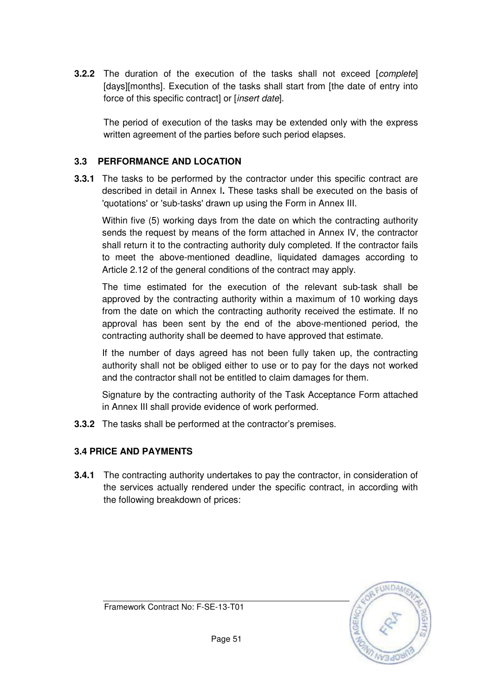**3.2.2** The duration of the execution of the tasks shall not exceed [complete] [days][months]. Execution of the tasks shall start from [the date of entry into force of this specific contract] or [insert date].

The period of execution of the tasks may be extended only with the express written agreement of the parties before such period elapses.

### **3.3 PERFORMANCE AND LOCATION**

**3.3.1** The tasks to be performed by the contractor under this specific contract are described in detail in Annex I**.** These tasks shall be executed on the basis of 'quotations' or 'sub-tasks' drawn up using the Form in Annex III.

Within five (5) working days from the date on which the contracting authority sends the request by means of the form attached in Annex IV, the contractor shall return it to the contracting authority duly completed. If the contractor fails to meet the above-mentioned deadline, liquidated damages according to Article 2.12 of the general conditions of the contract may apply.

 The time estimated for the execution of the relevant sub-task shall be approved by the contracting authority within a maximum of 10 working days from the date on which the contracting authority received the estimate. If no approval has been sent by the end of the above-mentioned period, the contracting authority shall be deemed to have approved that estimate.

If the number of days agreed has not been fully taken up, the contracting authority shall not be obliged either to use or to pay for the days not worked and the contractor shall not be entitled to claim damages for them.

Signature by the contracting authority of the Task Acceptance Form attached in Annex III shall provide evidence of work performed.

**3.3.2** The tasks shall be performed at the contractor's premises.

## **3.4 PRICE AND PAYMENTS**

**3.4.1** The contracting authority undertakes to pay the contractor, in consideration of the services actually rendered under the specific contract, in according with the following breakdown of prices:

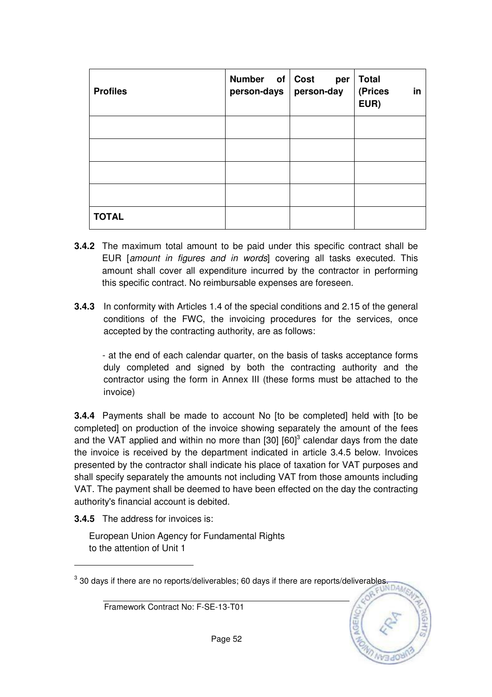| <b>Profiles</b> | Number of Cost<br>person-days   person-day | per | <b>Total</b><br>(Prices<br>in<br>EUR) |
|-----------------|--------------------------------------------|-----|---------------------------------------|
|                 |                                            |     |                                       |
|                 |                                            |     |                                       |
|                 |                                            |     |                                       |
|                 |                                            |     |                                       |
| <b>TOTAL</b>    |                                            |     |                                       |

- **3.4.2** The maximum total amount to be paid under this specific contract shall be EUR [amount in figures and in words] covering all tasks executed. This amount shall cover all expenditure incurred by the contractor in performing this specific contract. No reimbursable expenses are foreseen.
- **3.4.3** In conformity with Articles 1.4 of the special conditions and 2.15 of the general conditions of the FWC, the invoicing procedures for the services, once accepted by the contracting authority, are as follows:

- at the end of each calendar quarter, on the basis of tasks acceptance forms duly completed and signed by both the contracting authority and the contractor using the form in Annex III (these forms must be attached to the invoice)

**3.4.4** Payments shall be made to account No [to be completed] held with [to be completed] on production of the invoice showing separately the amount of the fees and the VAT applied and within no more than  $[30]$   $[60]$ <sup>3</sup> calendar days from the date the invoice is received by the department indicated in article 3.4.5 below. Invoices presented by the contractor shall indicate his place of taxation for VAT purposes and shall specify separately the amounts not including VAT from those amounts including VAT. The payment shall be deemed to have been effected on the day the contracting authority's financial account is debited.

**3.4.5** The address for invoices is:

 $\overline{a}$ 

European Union Agency for Fundamental Rights to the attention of Unit 1

 $^3$  30 days if there are no reports/deliverables; 60 days if there are reports/deliverables.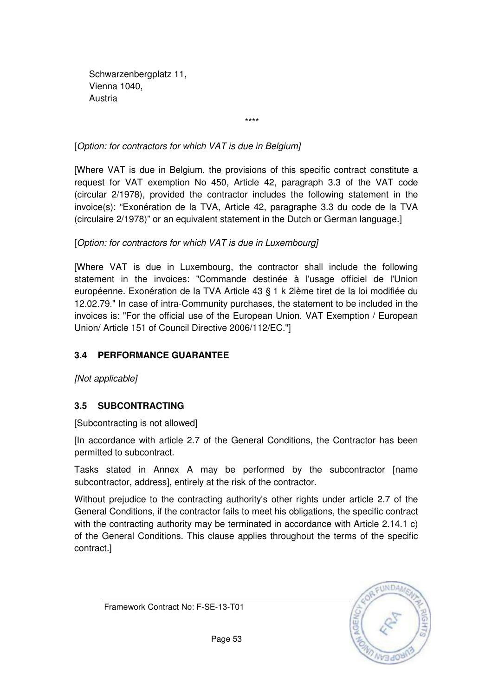Schwarzenbergplatz 11, Vienna 1040, Austria

\*\*\*\*

[Option: for contractors for which VAT is due in Belgium]

[Where VAT is due in Belgium, the provisions of this specific contract constitute a request for VAT exemption No 450, Article 42, paragraph 3.3 of the VAT code (circular 2/1978), provided the contractor includes the following statement in the invoice(s): "Exonération de la TVA, Article 42, paragraphe 3.3 du code de la TVA (circulaire 2/1978)" or an equivalent statement in the Dutch or German language.]

## [Option: for contractors for which VAT is due in Luxembourg]

[Where VAT is due in Luxembourg, the contractor shall include the following statement in the invoices: "Commande destinée à l'usage officiel de l'Union européenne. Exonération de la TVA Article 43 § 1 k 2ième tiret de la loi modifiée du 12.02.79." In case of intra-Community purchases, the statement to be included in the invoices is: "For the official use of the European Union. VAT Exemption / European Union/ Article 151 of Council Directive 2006/112/EC."]

## **3.4 PERFORMANCE GUARANTEE**

[Not applicable]

## **3.5 SUBCONTRACTING**

[Subcontracting is not allowed]

[In accordance with article 2.7 of the General Conditions, the Contractor has been permitted to subcontract.

Tasks stated in Annex A may be performed by the subcontractor [name subcontractor, address], entirely at the risk of the contractor.

Without prejudice to the contracting authority's other rights under article 2.7 of the General Conditions, if the contractor fails to meet his obligations, the specific contract with the contracting authority may be terminated in accordance with Article 2.14.1 c) of the General Conditions. This clause applies throughout the terms of the specific contract.]

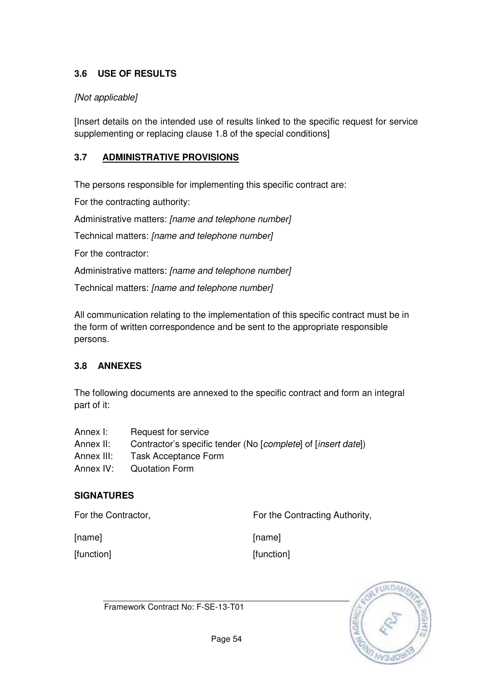## **3.6 USE OF RESULTS**

### [Not applicable]

[Insert details on the intended use of results linked to the specific request for service supplementing or replacing clause 1.8 of the special conditions]

### **3.7 ADMINISTRATIVE PROVISIONS**

The persons responsible for implementing this specific contract are:

For the contracting authority:

Administrative matters: [name and telephone number]

Technical matters: [name and telephone number]

For the contractor:

Administrative matters: [name and telephone number]

Technical matters: [name and telephone number]

All communication relating to the implementation of this specific contract must be in the form of written correspondence and be sent to the appropriate responsible persons.

#### **3.8 ANNEXES**

The following documents are annexed to the specific contract and form an integral part of it:

| Annex I:   | Request for service                                                             |
|------------|---------------------------------------------------------------------------------|
| Annex II:  | Contractor's specific tender (No [ <i>complete</i> ] of [ <i>insert date</i> ]) |
| Annex III: | <b>Task Acceptance Form</b>                                                     |
| Annex IV:  | <b>Quotation Form</b>                                                           |

#### **SIGNATURES**

For the Contractor, **For the Contracting Authority**,

[name]

[function]

[name] [function]

Framework Contract No: F-SE-13-T01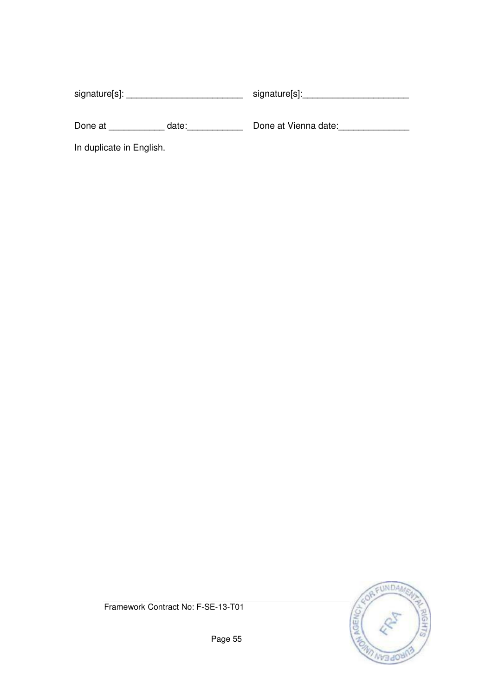signature[s]: \_\_\_\_\_\_\_\_\_\_\_\_\_\_\_\_\_\_\_\_\_\_\_\_\_\_\_\_\_\_\_\_\_\_ signature[s]: \_\_\_\_\_\_\_\_\_\_\_\_\_\_\_\_\_\_ Done at \_\_\_\_\_\_\_\_\_\_\_\_\_ date:\_\_\_\_\_\_\_\_\_\_\_\_\_\_\_\_\_\_\_\_\_ Done at Vienna date:\_\_\_\_\_\_\_\_\_\_\_\_ In duplicate in English.



Framework Contract No: F-SE-13-T01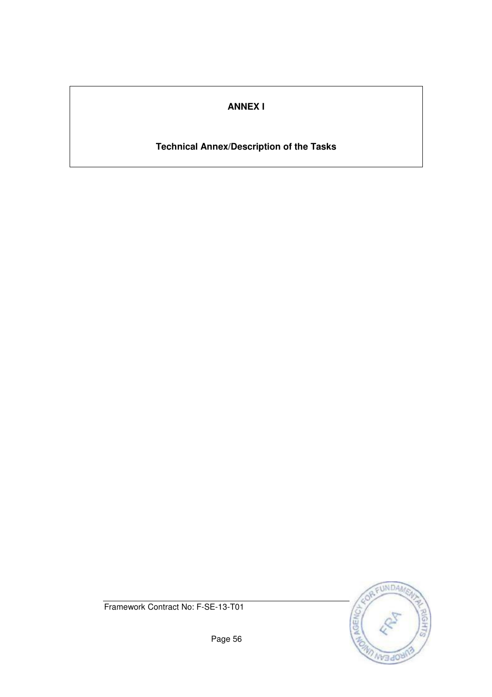## **ANNEX I**

## **Technical Annex/Description of the Tasks**



Framework Contract No: F-SE-13-T01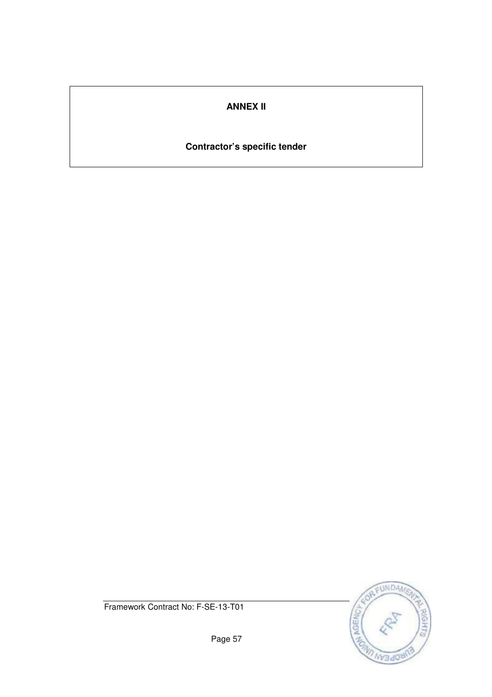## **ANNEX II**

## **Contractor's specific tender**



Framework Contract No: F-SE-13-T01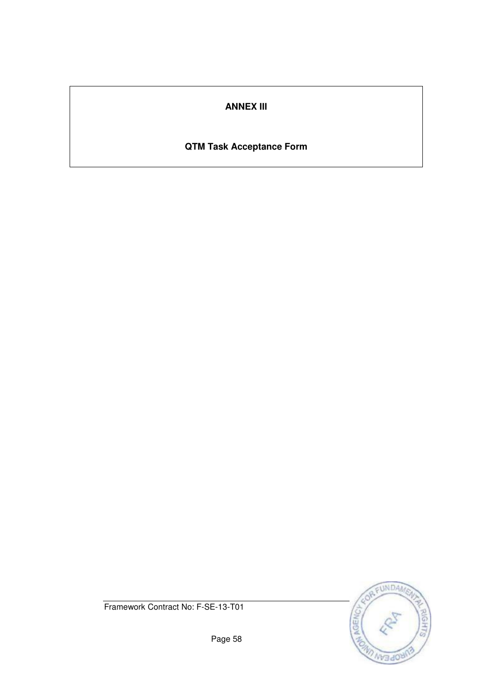## **ANNEX III**

# **QTM Task Acceptance Form**



Framework Contract No: F-SE-13-T01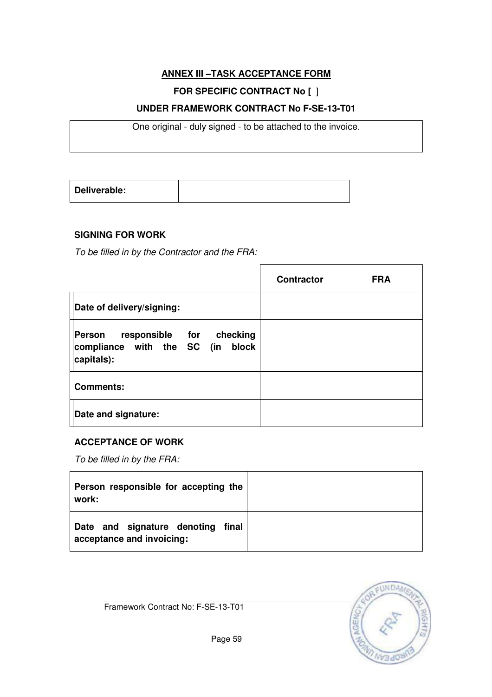## **ANNEX III –TASK ACCEPTANCE FORM**

## **FOR SPECIFIC CONTRACT No [** ]

### **UNDER FRAMEWORK CONTRACT No F-SE-13-T01**

One original - duly signed - to be attached to the invoice.

| Deliverable: |  |
|--------------|--|
|              |  |

## **SIGNING FOR WORK**

To be filled in by the Contractor and the FRA:

|                                                                                      | <b>Contractor</b> | <b>FRA</b> |
|--------------------------------------------------------------------------------------|-------------------|------------|
| Date of delivery/signing:                                                            |                   |            |
| responsible for checking<br>Person<br>compliance with the SC (in block<br>capitals): |                   |            |
| <b>Comments:</b>                                                                     |                   |            |
| Date and signature:                                                                  |                   |            |

#### **ACCEPTANCE OF WORK**

To be filled in by the FRA:

| Person responsible for accepting the<br>work:                     |  |
|-------------------------------------------------------------------|--|
| Date and signature denoting<br>final<br>acceptance and invoicing: |  |

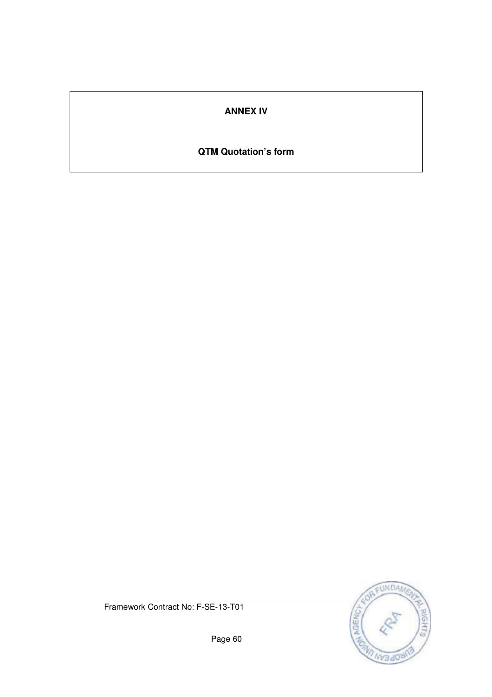## **ANNEX IV**

## **QTM Quotation's form**



Framework Contract No: F-SE-13-T01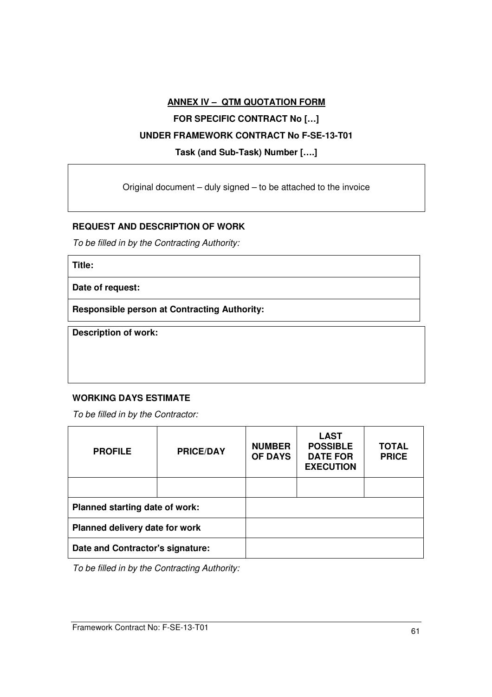# **ANNEX IV – QTM QUOTATION FORM FOR SPECIFIC CONTRACT No […] UNDER FRAMEWORK CONTRACT No F-SE-13-T01 Task (and Sub-Task) Number [….]**

Original document – duly signed – to be attached to the invoice

#### **REQUEST AND DESCRIPTION OF WORK**

To be filled in by the Contracting Authority:

**Title:** 

**Date of request:** 

**Responsible person at Contracting Authority:** 

**Description of work:** 

#### **WORKING DAYS ESTIMATE**

To be filled in by the Contractor:

| <b>PROFILE</b>                   | <b>PRICE/DAY</b> | <b>NUMBER</b><br><b>OF DAYS</b> | <b>LAST</b><br><b>POSSIBLE</b><br><b>DATE FOR</b><br><b>EXECUTION</b> | <b>TOTAL</b><br><b>PRICE</b> |
|----------------------------------|------------------|---------------------------------|-----------------------------------------------------------------------|------------------------------|
|                                  |                  |                                 |                                                                       |                              |
| Planned starting date of work:   |                  |                                 |                                                                       |                              |
| Planned delivery date for work   |                  |                                 |                                                                       |                              |
| Date and Contractor's signature: |                  |                                 |                                                                       |                              |

To be filled in by the Contracting Authority: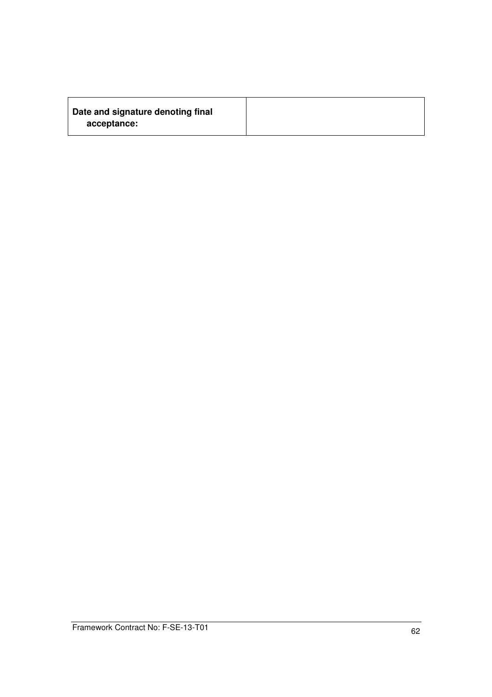| Date and signature denoting final |  |
|-----------------------------------|--|
| acceptance:                       |  |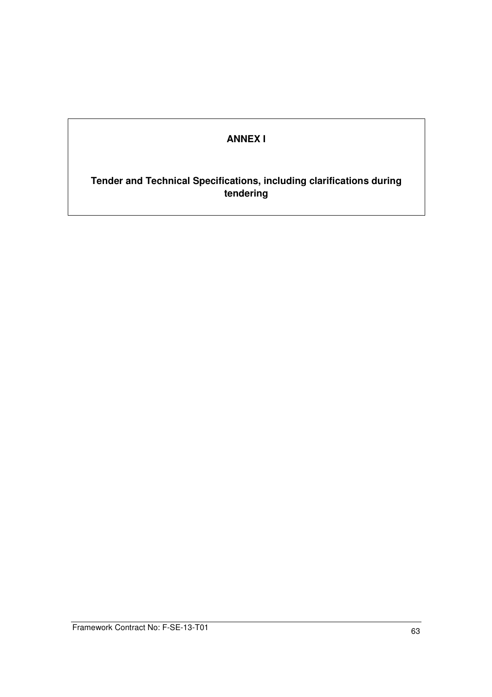## **ANNEX I**

**Tender and Technical Specifications, including clarifications during tendering**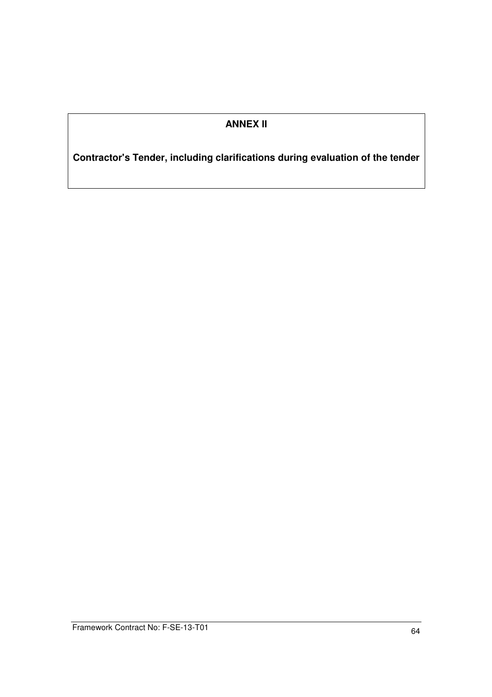## **ANNEX II**

**Contractor's Tender, including clarifications during evaluation of the tender**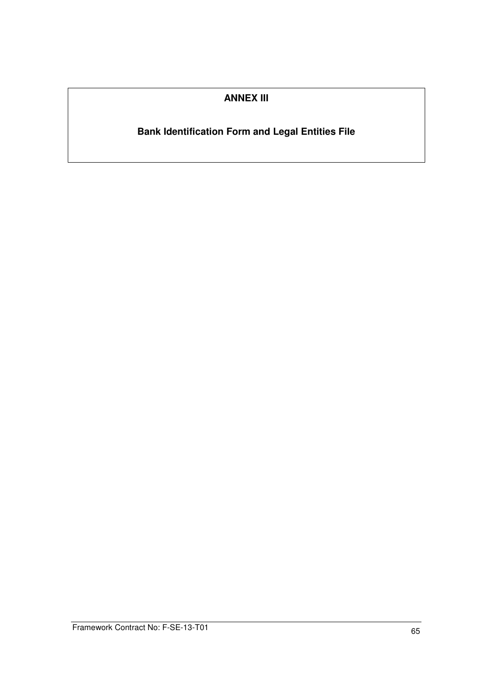## **ANNEX III**

# **Bank Identification Form and Legal Entities File**